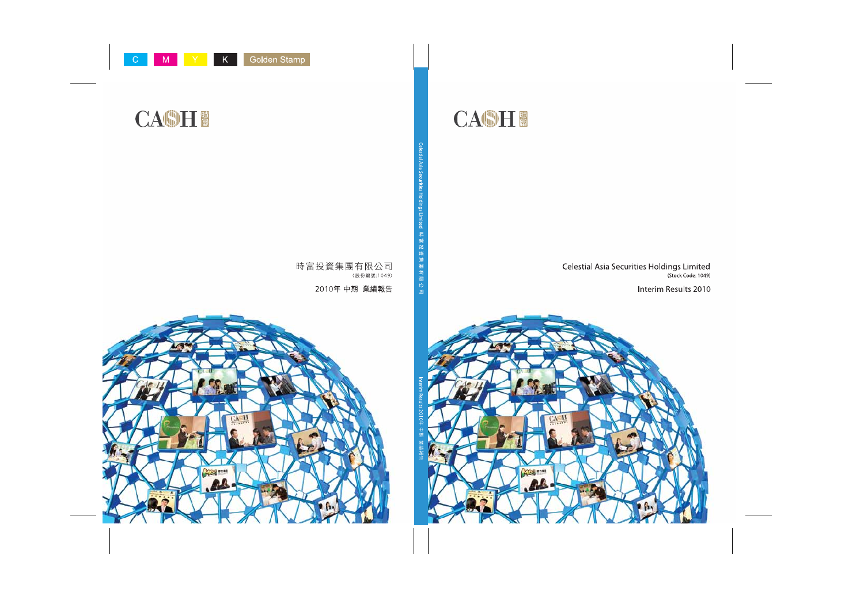

## Celestial Asia Securities Holdings Limited (Stock Code: 1049)

## Interim Results 2010

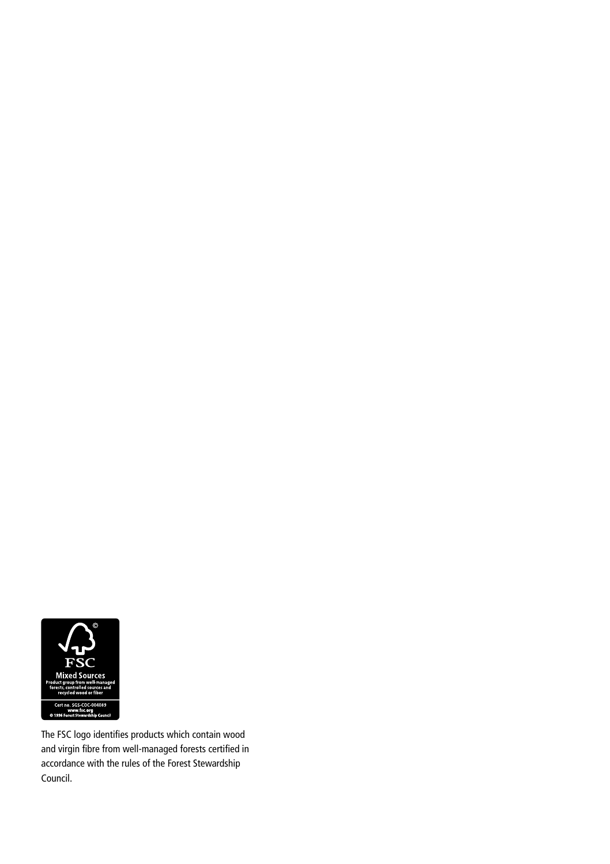

The FSC logo identifies products which contain wood and virgin fibre from well-managed forests certified in accordance with the rules of the Forest Stewardship Council.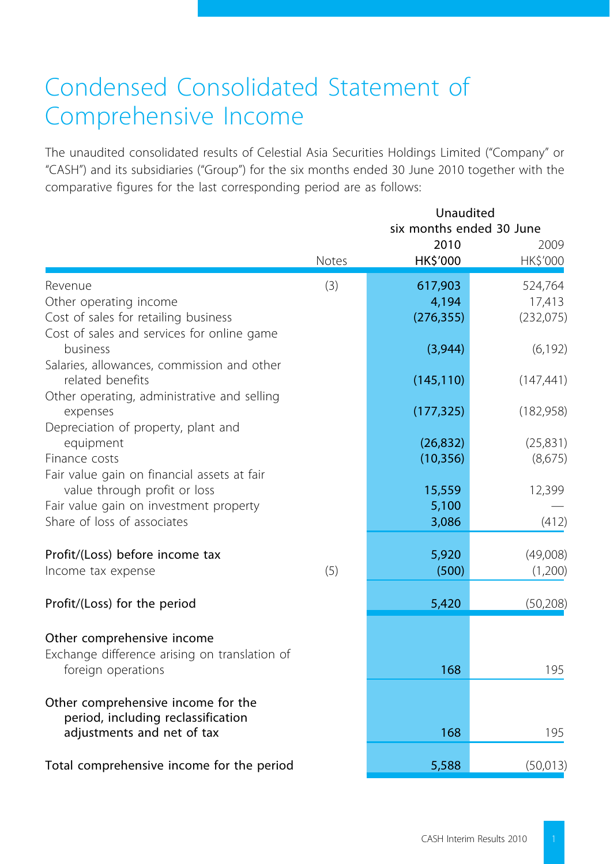## Condensed Consolidated Statement of Comprehensive Income

The unaudited consolidated results of Celestial Asia Securities Holdings Limited ("Company" or "CASH") and its subsidiaries ("Group") for the six months ended 30 June 2010 together with the comparative figures for the last corresponding period are as follows:

|                                                                                                                                                      | Unaudited<br>six months ended 30 June |                                |                                |  |
|------------------------------------------------------------------------------------------------------------------------------------------------------|---------------------------------------|--------------------------------|--------------------------------|--|
|                                                                                                                                                      | Notes                                 | 2010<br>HK\$'000               | 2009<br>HK\$'000               |  |
| Revenue<br>Other operating income<br>Cost of sales for retailing business                                                                            | (3)                                   | 617,903<br>4,194<br>(276, 355) | 524,764<br>17,413<br>(232,075) |  |
| Cost of sales and services for online game<br>business<br>Salaries, allowances, commission and other                                                 |                                       | (3,944)                        | (6, 192)                       |  |
| related benefits<br>Other operating, administrative and selling                                                                                      |                                       | (145, 110)                     | (147, 441)                     |  |
| expenses<br>Depreciation of property, plant and                                                                                                      |                                       | (177, 325)                     | (182, 958)                     |  |
| equipment<br>Finance costs                                                                                                                           |                                       | (26, 832)<br>(10, 356)         | (25, 831)<br>(8,675)           |  |
| Fair value gain on financial assets at fair<br>value through profit or loss<br>Fair value gain on investment property<br>Share of loss of associates |                                       | 15,559<br>5,100<br>3,086       | 12,399<br>(412)                |  |
| Profit/(Loss) before income tax<br>Income tax expense                                                                                                | (5)                                   | 5,920<br>(500)                 | (49,008)<br>(1,200)            |  |
| Profit/(Loss) for the period                                                                                                                         |                                       | 5,420                          | (50, 208)                      |  |
| Other comprehensive income<br>Exchange difference arising on translation of<br>foreign operations                                                    |                                       | 168                            | 195                            |  |
| Other comprehensive income for the<br>period, including reclassification<br>adjustments and net of tax                                               |                                       | 168                            | 195                            |  |
| Total comprehensive income for the period                                                                                                            |                                       | 5,588                          | (50,013)                       |  |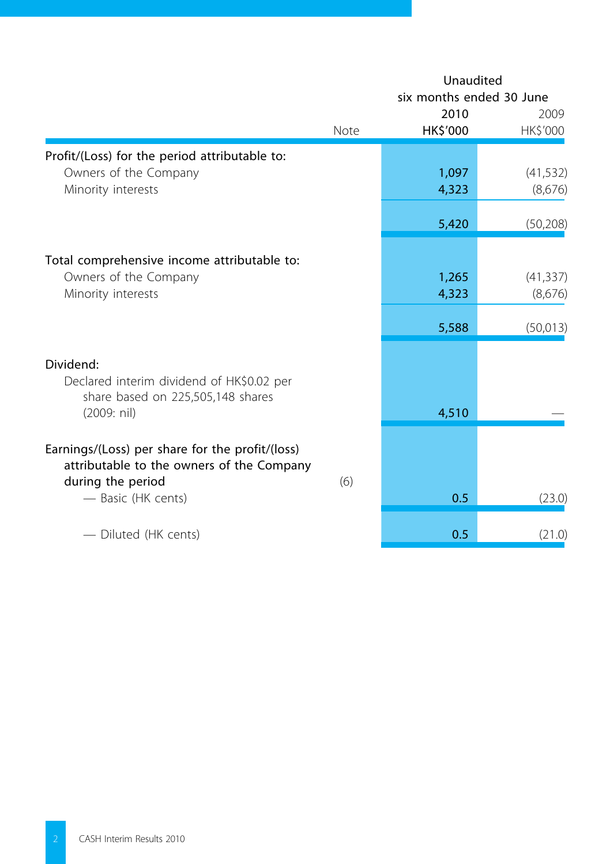|                                                                                |      | Unaudited<br>six months ended 30 June<br>2010 | 2009      |
|--------------------------------------------------------------------------------|------|-----------------------------------------------|-----------|
|                                                                                | Note | HK\$'000                                      | HK\$'000  |
| Profit/(Loss) for the period attributable to:                                  |      |                                               |           |
| Owners of the Company                                                          |      | 1,097                                         | (41, 532) |
| Minority interests                                                             |      | 4,323                                         | (8,676)   |
|                                                                                |      | 5,420                                         | (50, 208) |
| Total comprehensive income attributable to:                                    |      |                                               |           |
| Owners of the Company                                                          |      | 1,265                                         | (41, 337) |
| Minority interests                                                             |      | 4,323                                         | (8,676)   |
|                                                                                |      | 5,588                                         | (50,013)  |
|                                                                                |      |                                               |           |
| Dividend:                                                                      |      |                                               |           |
| Declared interim dividend of HK\$0.02 per<br>share based on 225,505,148 shares |      |                                               |           |
| (2009: nil)                                                                    |      | 4,510                                         |           |
| Earnings/(Loss) per share for the profit/(loss)                                |      |                                               |           |
| attributable to the owners of the Company<br>during the period                 | (6)  |                                               |           |
| - Basic (HK cents)                                                             |      | 0.5                                           | (23.0)    |
| - Diluted (HK cents)                                                           |      | 0.5                                           | (21.0)    |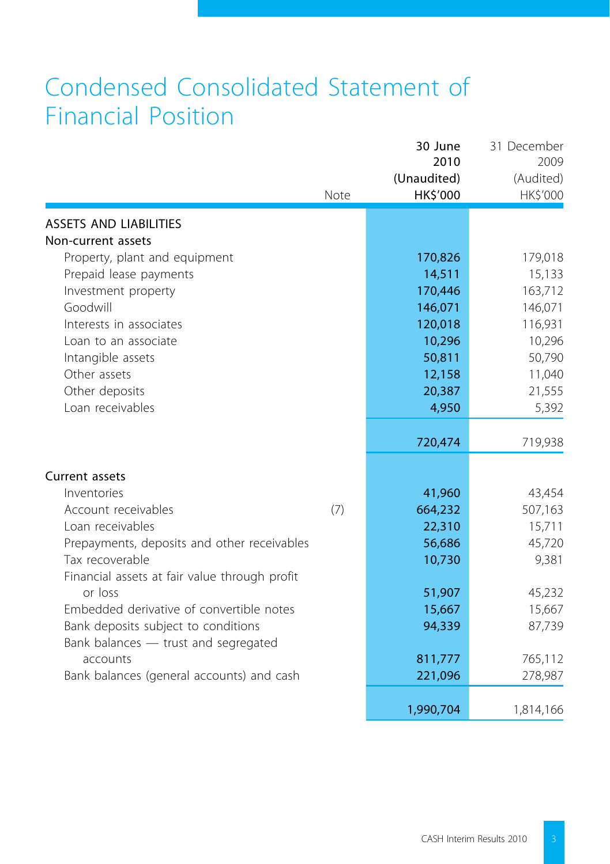## Condensed Consolidated Statement of Financial Position

|                                               | Note | 30 June<br>2010<br>(Unaudited)<br>HK\$'000 | 31 December<br>2009<br>(Audited)<br>HK\$'000 |
|-----------------------------------------------|------|--------------------------------------------|----------------------------------------------|
| <b>ASSETS AND LIABILITIES</b>                 |      |                                            |                                              |
| Non-current assets                            |      |                                            |                                              |
| Property, plant and equipment                 |      | 170,826                                    | 179,018                                      |
| Prepaid lease payments                        |      | 14,511                                     | 15,133                                       |
| Investment property                           |      | 170,446                                    | 163,712                                      |
| Goodwill                                      |      | 146,071                                    | 146,071                                      |
| Interests in associates                       |      | 120,018                                    | 116,931                                      |
| Loan to an associate                          |      | 10,296                                     | 10,296                                       |
| Intangible assets                             |      | 50,811                                     | 50,790                                       |
| Other assets                                  |      | 12,158                                     | 11,040                                       |
| Other deposits                                |      | 20,387                                     | 21,555                                       |
| Loan receivables                              |      | 4,950                                      | 5,392                                        |
|                                               |      | 720,474                                    | 719,938                                      |
| Current assets                                |      |                                            |                                              |
| Inventories                                   |      | 41,960                                     | 43,454                                       |
| Account receivables                           | (7)  | 664,232                                    | 507,163                                      |
| Loan receivables                              |      | 22,310                                     | 15,711                                       |
| Prepayments, deposits and other receivables   |      | 56,686                                     | 45,720                                       |
| Tax recoverable                               |      | 10,730                                     | 9,381                                        |
| Financial assets at fair value through profit |      |                                            |                                              |
| or loss                                       |      | 51,907                                     | 45,232                                       |
| Embedded derivative of convertible notes      |      | 15,667                                     | 15,667                                       |
| Bank deposits subject to conditions           |      | 94,339                                     | 87,739                                       |
| Bank balances - trust and segregated          |      |                                            |                                              |
| accounts                                      |      | 811,777                                    | 765,112                                      |
| Bank balances (general accounts) and cash     |      | 221,096                                    | 278,987                                      |
|                                               |      | 1,990,704                                  | 1,814,166                                    |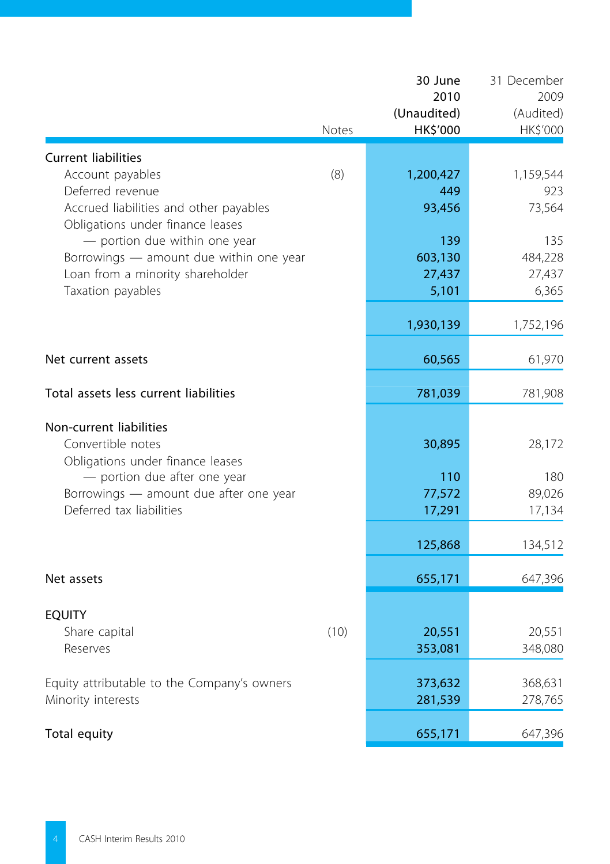|                                                                    | Notes | 30 June<br>2010<br>(Unaudited)<br>HK\$'000 | 31 December<br>2009<br>(Audited)<br>HK\$'000 |
|--------------------------------------------------------------------|-------|--------------------------------------------|----------------------------------------------|
| <b>Current liabilities</b>                                         |       |                                            |                                              |
| Account payables                                                   | (8)   | 1,200,427                                  | 1,159,544                                    |
| Deferred revenue                                                   |       | 449                                        | 923                                          |
| Accrued liabilities and other payables                             |       | 93,456                                     | 73,564                                       |
| Obligations under finance leases<br>- portion due within one year  |       | 139                                        | 135                                          |
| Borrowings - amount due within one year                            |       | 603,130                                    | 484,228                                      |
| Loan from a minority shareholder                                   |       | 27,437                                     | 27,437                                       |
| Taxation payables                                                  |       | 5,101                                      | 6,365                                        |
|                                                                    |       | 1,930,139                                  | 1,752,196                                    |
|                                                                    |       |                                            |                                              |
| Net current assets                                                 |       | 60,565                                     | 61,970                                       |
| Total assets less current liabilities                              |       | 781,039                                    | 781,908                                      |
| Non-current liabilities                                            |       |                                            |                                              |
| Convertible notes                                                  |       | 30,895                                     | 28,172                                       |
| Obligations under finance leases                                   |       |                                            |                                              |
| - portion due after one year                                       |       | 110                                        | 180                                          |
| Borrowings - amount due after one year<br>Deferred tax liabilities |       | 77,572<br>17,291                           | 89,026<br>17,134                             |
|                                                                    |       |                                            |                                              |
|                                                                    |       | 125,868                                    | 134,512                                      |
| Net assets                                                         |       | 655,171                                    | 647,396                                      |
|                                                                    |       |                                            |                                              |
| <b>EQUITY</b><br>Share capital                                     | (10)  | 20,551                                     | 20,551                                       |
| Reserves                                                           |       | 353,081                                    | 348,080                                      |
|                                                                    |       |                                            |                                              |
| Equity attributable to the Company's owners                        |       | 373,632                                    | 368,631                                      |
| Minority interests                                                 |       | 281,539                                    | 278,765                                      |
| Total equity                                                       |       | 655,171                                    | 647,396                                      |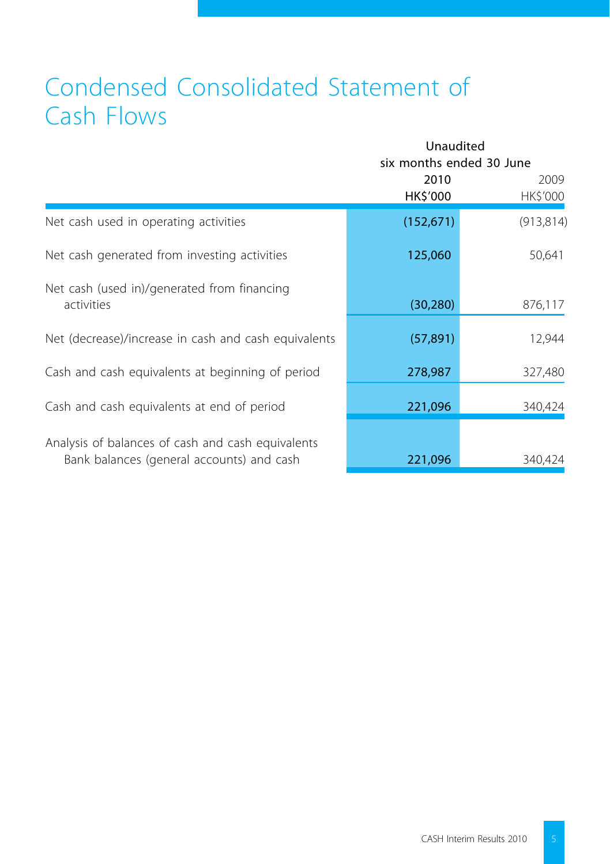## Condensed Consolidated Statement of Cash Flows

|                                                                                                | Unaudited<br>six months ended 30 June |                  |
|------------------------------------------------------------------------------------------------|---------------------------------------|------------------|
|                                                                                                | 2010<br>HK\$'000                      | 2009<br>HK\$'000 |
| Net cash used in operating activities                                                          | (152, 671)                            | (913, 814)       |
| Net cash generated from investing activities                                                   | 125,060                               | 50,641           |
| Net cash (used in)/generated from financing<br>activities                                      | (30, 280)                             | 876,117          |
| Net (decrease)/increase in cash and cash equivalents                                           | (57, 891)                             | 12,944           |
| Cash and cash equivalents at beginning of period                                               | 278,987                               | 327,480          |
| Cash and cash equivalents at end of period                                                     | 221,096                               | 340,424          |
| Analysis of balances of cash and cash equivalents<br>Bank balances (general accounts) and cash | 221,096                               | 340,424          |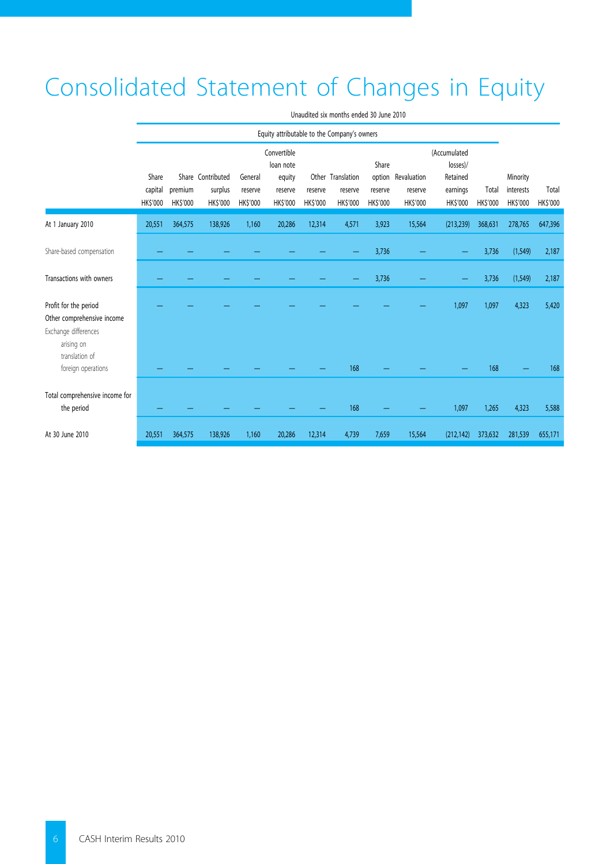# Consolidated Statement of Changes in Equity

|                                                      | Equity attributable to the Company's owners |                           |                                                 |                                       |                                                                 |                           |                                                |                                              |                                          |                                                                    |                         |                                         |                   |
|------------------------------------------------------|---------------------------------------------|---------------------------|-------------------------------------------------|---------------------------------------|-----------------------------------------------------------------|---------------------------|------------------------------------------------|----------------------------------------------|------------------------------------------|--------------------------------------------------------------------|-------------------------|-----------------------------------------|-------------------|
|                                                      | Share<br>capital<br><b>HKS'000</b>          | premium<br><b>HKS'000</b> | Share Contributed<br>surplus<br><b>HK\$'000</b> | General<br>reserve<br><b>HK\$'000</b> | Convertible<br>loan note<br>equity<br>reserve<br><b>HKS'000</b> | reserve<br><b>HKS'000</b> | Other Translation<br>reserve<br><b>HKS'000</b> | Share<br>option<br>reserve<br><b>HKS'000</b> | Revaluation<br>reserve<br><b>HKS'000</b> | (Accumulated<br>losses)/<br>Retained<br>earnings<br><b>HKS'000</b> | Total<br><b>HKS'000</b> | Minority<br>interests<br><b>HKS'000</b> | Total<br>HK\$'000 |
| At 1 January 2010                                    | 20,551                                      | 364,575                   | 138,926                                         | 1,160                                 | 20,286                                                          | 12,314                    | 4,571                                          | 3,923                                        | 15,564                                   | (213, 239)                                                         | 368,631                 | 278,765                                 | 647,396           |
| Share-based compensation                             |                                             |                           |                                                 |                                       |                                                                 |                           |                                                | 3,736                                        |                                          |                                                                    | 3,736                   | (1, 549)                                | 2,187             |
| Transactions with owners                             |                                             |                           |                                                 |                                       |                                                                 |                           |                                                | 3,736                                        |                                          | -                                                                  | 3,736                   | (1, 549)                                | 2,187             |
| Profit for the period<br>Other comprehensive income  |                                             |                           |                                                 |                                       |                                                                 |                           |                                                |                                              |                                          | 1,097                                                              | 1,097                   | 4,323                                   | 5,420             |
| Exchange differences<br>arising on<br>translation of |                                             |                           |                                                 |                                       |                                                                 |                           |                                                |                                              |                                          |                                                                    |                         |                                         |                   |
| foreign operations                                   |                                             |                           |                                                 |                                       |                                                                 |                           | 168                                            |                                              |                                          |                                                                    | 168                     |                                         | 168               |
| Total comprehensive income for<br>the period         |                                             |                           |                                                 |                                       |                                                                 |                           | 168                                            |                                              |                                          | 1,097                                                              | 1,265                   | 4,323                                   | 5,588             |
| At 30 June 2010                                      | 20,551                                      | 364,575                   | 138,926                                         | 1,160                                 | 20,286                                                          | 12,314                    | 4,739                                          | 7,659                                        | 15,564                                   | (212, 142)                                                         | 373,632                 | 281,539                                 | 655,171           |

Unaudited six months ended 30 June 2010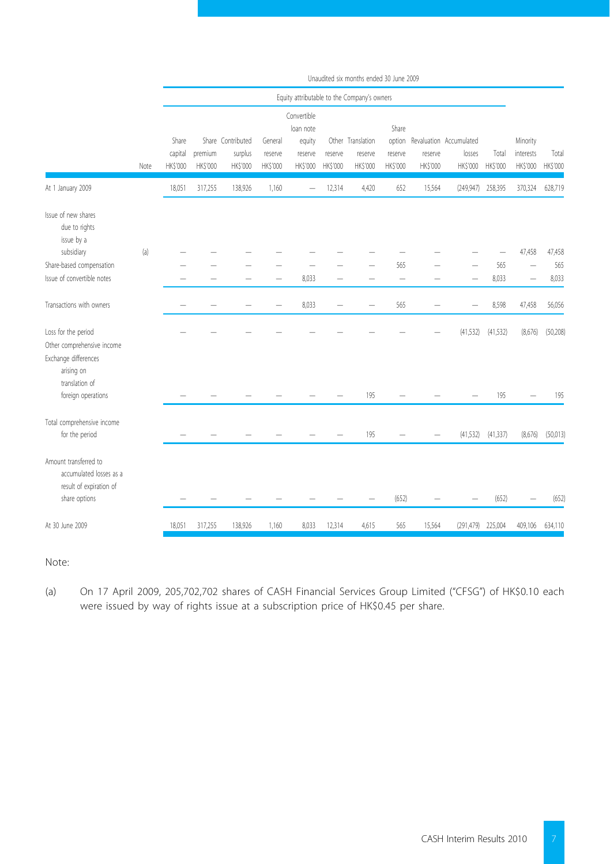|                                                                                              |      |                  |          |                              |                    |                                               |                  | Unaudited six months ended 30 June 2009     |                            |          |                                   |                   |                       |               |
|----------------------------------------------------------------------------------------------|------|------------------|----------|------------------------------|--------------------|-----------------------------------------------|------------------|---------------------------------------------|----------------------------|----------|-----------------------------------|-------------------|-----------------------|---------------|
|                                                                                              |      |                  |          |                              |                    |                                               |                  | Equity attributable to the Company's owners |                            |          |                                   |                   |                       |               |
|                                                                                              |      | Share<br>capital | premium  | Share Contributed<br>surplus | General<br>reserve | Convertible<br>loan note<br>equity<br>reserve | Other<br>reserve | Translation<br>reserve                      | Share<br>option<br>reserve | reserve  | Revaluation Accumulated<br>losses | Total             | Minority<br>interests | Total         |
|                                                                                              | Note | <b>HK\$'000</b>  | HK\$'000 | HK\$'000                     | HK\$'000           | HK\$'000                                      | HK\$'000         | HK\$'000                                    | HK\$'000                   | HK\$'000 | HK\$'000                          | HK\$'000          | HK\$'000              | HK\$'000      |
| At 1 January 2009                                                                            |      | 18,051           | 317,255  | 138,926                      | 1,160              | -                                             | 12,314           | 4,420                                       | 652                        | 15,564   |                                   | (249,947) 258,395 | 370,324               | 628,719       |
| Issue of new shares<br>due to rights<br>issue by a                                           |      |                  |          |                              |                    |                                               |                  |                                             |                            |          |                                   |                   |                       |               |
| subsidiary                                                                                   | (a)  |                  |          |                              |                    |                                               |                  |                                             |                            |          |                                   |                   | 47,458                | 47,458<br>565 |
| Share-based compensation<br>Issue of convertible notes                                       |      |                  |          |                              |                    |                                               |                  |                                             | 565                        |          |                                   | 565               |                       |               |
|                                                                                              |      |                  |          |                              |                    | 8,033                                         |                  |                                             | $\overline{\phantom{0}}$   |          |                                   | 8,033             |                       | 8,033         |
| Transactions with owners                                                                     |      |                  |          |                              |                    | 8,033                                         |                  |                                             | 565                        |          |                                   | 8,598             | 47,458                | 56,056        |
| Loss for the period<br>Other comprehensive income<br>Exchange differences<br>arising on      |      |                  |          |                              |                    |                                               |                  |                                             |                            |          | (41, 532)                         | (41, 532)         | (8,676)               | (50, 208)     |
| translation of<br>foreign operations                                                         |      |                  |          |                              |                    |                                               |                  | 195                                         |                            |          |                                   | 195               |                       | 195           |
| Total comprehensive income<br>for the period                                                 |      |                  |          |                              |                    |                                               |                  | 195                                         |                            |          | (41, 532)                         | (41, 337)         | (8,676)               | (50,013)      |
| Amount transferred to<br>accumulated losses as a<br>result of expiration of<br>share options |      |                  |          |                              |                    |                                               |                  |                                             | (652)                      |          |                                   | (652)             |                       | (652)         |
|                                                                                              |      |                  |          |                              |                    |                                               |                  |                                             |                            |          |                                   |                   |                       |               |
| At 30 June 2009                                                                              |      | 18,051           | 317,255  | 138,926                      | 1,160              | 8,033                                         | 12,314           | 4,615                                       | 565                        | 15,564   | (291, 479)                        | 225,004           | 409,106               | 634,110       |

Note:

(a) On 17 April 2009, 205,702,702 shares of CASH Financial Services Group Limited ("CFSG") of HK\$0.10 each were issued by way of rights issue at a subscription price of HK\$0.45 per share.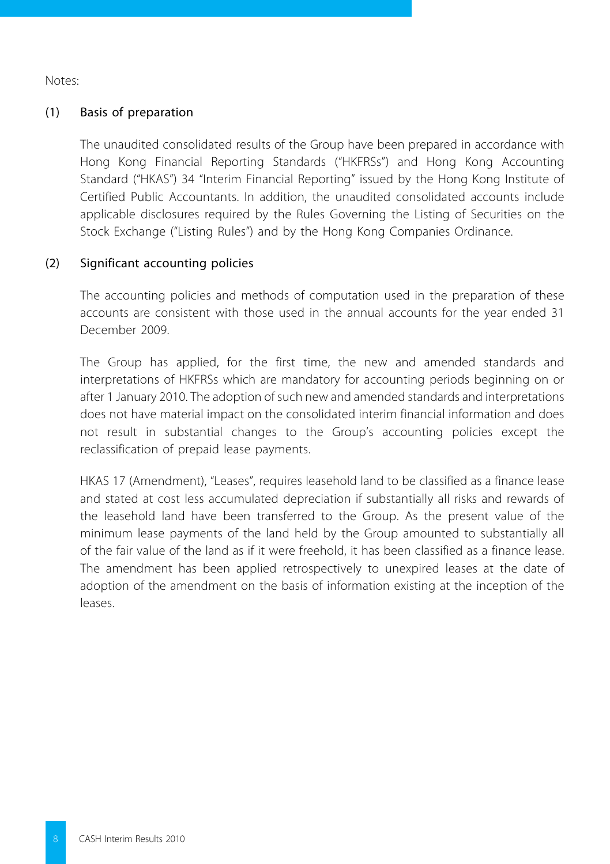Notes:

## (1) Basis of preparation

The unaudited consolidated results of the Group have been prepared in accordance with Hong Kong Financial Reporting Standards ("HKFRSs") and Hong Kong Accounting Standard ("HKAS") 34 "Interim Financial Reporting" issued by the Hong Kong Institute of Certified Public Accountants. In addition, the unaudited consolidated accounts include applicable disclosures required by the Rules Governing the Listing of Securities on the Stock Exchange ("Listing Rules") and by the Hong Kong Companies Ordinance.

## (2) Significant accounting policies

The accounting policies and methods of computation used in the preparation of these accounts are consistent with those used in the annual accounts for the year ended 31 December 2009.

The Group has applied, for the first time, the new and amended standards and interpretations of HKFRSs which are mandatory for accounting periods beginning on or after 1 January 2010. The adoption of such new and amended standards and interpretations does not have material impact on the consolidated interim financial information and does not result in substantial changes to the Group's accounting policies except the reclassification of prepaid lease payments.

HKAS 17 (Amendment), "Leases", requires leasehold land to be classified as a finance lease and stated at cost less accumulated depreciation if substantially all risks and rewards of the leasehold land have been transferred to the Group. As the present value of the minimum lease payments of the land held by the Group amounted to substantially all of the fair value of the land as if it were freehold, it has been classified as a finance lease. The amendment has been applied retrospectively to unexpired leases at the date of adoption of the amendment on the basis of information existing at the inception of the leases.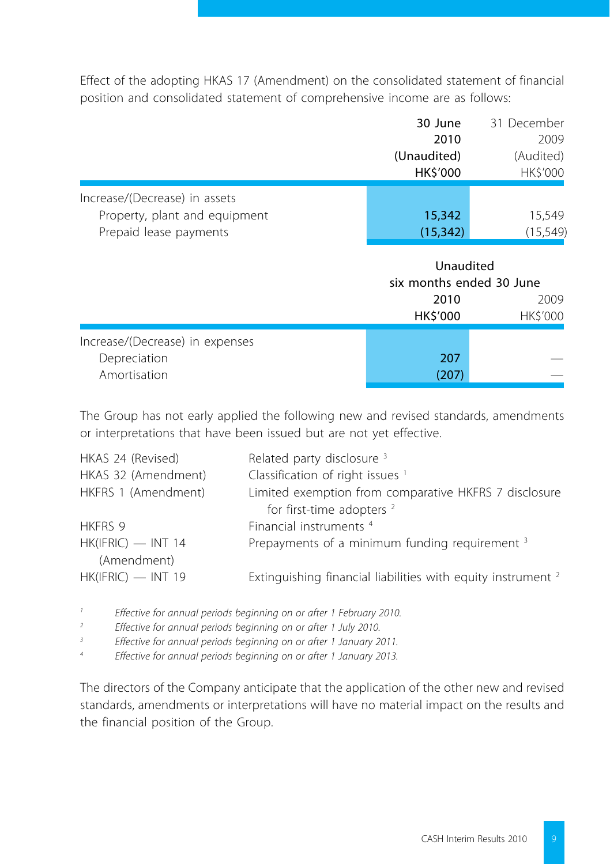Effect of the adopting HKAS 17 (Amendment) on the consolidated statement of financial position and consolidated statement of comprehensive income are as follows:

|                               | 30 June        | 31 December     |
|-------------------------------|----------------|-----------------|
|                               | 2010           | 2009            |
|                               | (Unaudited)    | (Audited)       |
|                               | <b>HKS'000</b> | <b>HK\$'000</b> |
| Increase/(Decrease) in assets |                |                 |
| Property, plant and equipment | 15,342         | 15,549          |
| Prepaid lease payments        | (15, 342)      | (15, 549)       |

|                                                                 | Unaudited<br>six months ended 30 June |                  |
|-----------------------------------------------------------------|---------------------------------------|------------------|
|                                                                 | 2010<br>HK\$'000                      | 2009<br>HK\$'000 |
| Increase/(Decrease) in expenses<br>Depreciation<br>Amortisation | 207<br>207                            |                  |

The Group has not early applied the following new and revised standards, amendments or interpretations that have been issued but are not yet effective.

| HKAS 24 (Revised)    | Related party disclosure 3                                              |
|----------------------|-------------------------------------------------------------------------|
| HKAS 32 (Amendment)  | Classification of right issues <sup>1</sup>                             |
| HKFRS 1 (Amendment)  | Limited exemption from comparative HKFRS 7 disclosure                   |
|                      | for first-time adopters <sup>2</sup>                                    |
| HKFRS 9              | Financial instruments <sup>4</sup>                                      |
| $HK(IFRIC)$ - INT 14 | Prepayments of a minimum funding requirement 3                          |
| (Amendment)          |                                                                         |
| $HK(IFRIC)$ - INT 19 | Extinguishing financial liabilities with equity instrument <sup>2</sup> |

*1 Effective for annual periods beginning on or after 1 February 2010.*

*2 Effective for annual periods beginning on or after 1 July 2010.*

*3 Effective for annual periods beginning on or after 1 January 2011.*

*4 Effective for annual periods beginning on or after 1 January 2013.*

The directors of the Company anticipate that the application of the other new and revised standards, amendments or interpretations will have no material impact on the results and the financial position of the Group.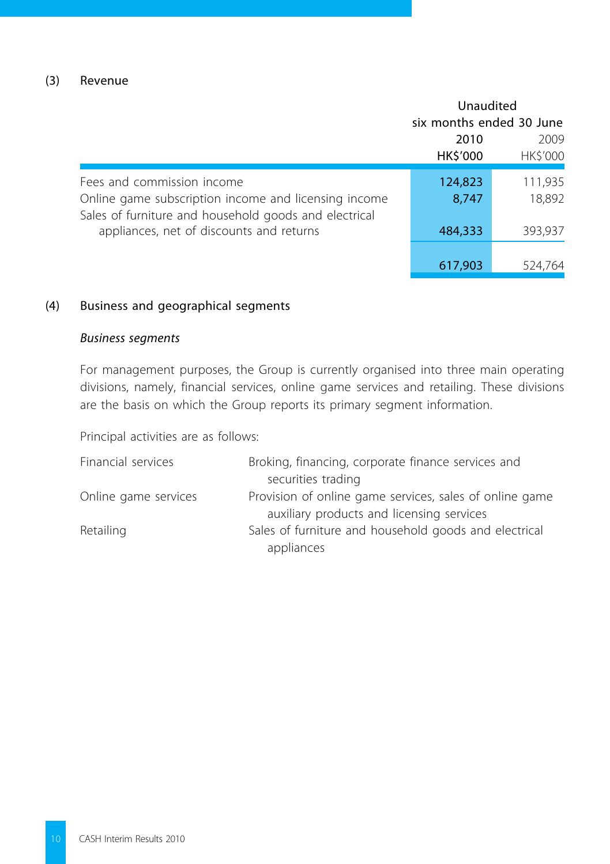## (3) Revenue

|                                                                                                               | Unaudited                |                 |  |
|---------------------------------------------------------------------------------------------------------------|--------------------------|-----------------|--|
|                                                                                                               | six months ended 30 June |                 |  |
|                                                                                                               | 2010                     | 2009            |  |
|                                                                                                               | HK\$'000                 | <b>HK\$'000</b> |  |
| Fees and commission income                                                                                    | 124,823                  | 111,935         |  |
| Online game subscription income and licensing income<br>Sales of furniture and household goods and electrical | 8,747                    | 18,892          |  |
| appliances, net of discounts and returns                                                                      | 484,333                  | 393,937         |  |
|                                                                                                               |                          |                 |  |
|                                                                                                               | 617,903                  | 524,764         |  |

## (4) Business and geographical segments

## *Business segments*

For management purposes, the Group is currently organised into three main operating divisions, namely, financial services, online game services and retailing. These divisions are the basis on which the Group reports its primary segment information.

Principal activities are as follows:

| Financial services   | Broking, financing, corporate finance services and      |
|----------------------|---------------------------------------------------------|
|                      | securities trading                                      |
| Online game services | Provision of online game services, sales of online game |
|                      | auxiliary products and licensing services               |
| Retailing            | Sales of furniture and household goods and electrical   |
|                      | appliances                                              |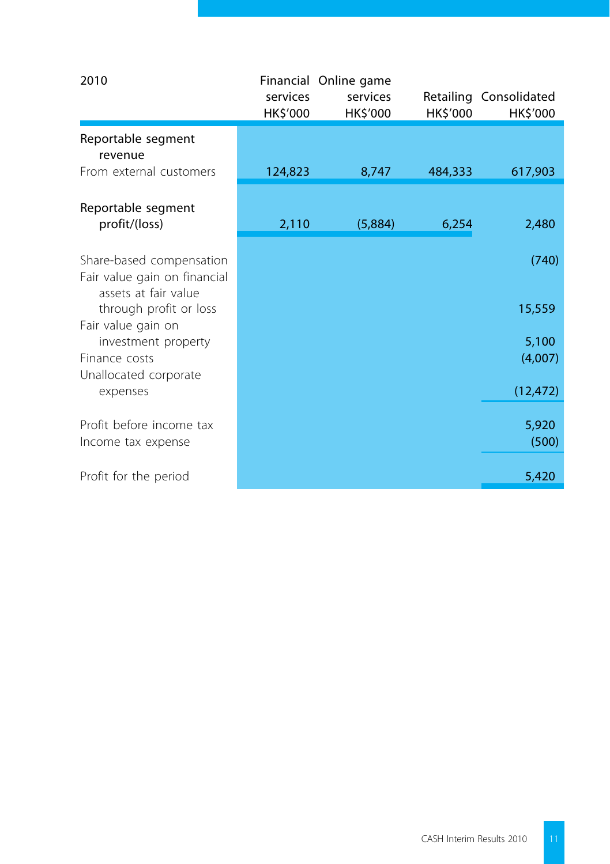| 2010                                                                             | services<br>HK\$'000 | Financial Online game<br>services<br>HK\$'000 | HK\$'000 | Retailing Consolidated<br>HK\$'000 |
|----------------------------------------------------------------------------------|----------------------|-----------------------------------------------|----------|------------------------------------|
| Reportable segment<br>revenue                                                    |                      |                                               |          |                                    |
| From external customers                                                          | 124,823              | 8,747                                         | 484,333  | 617,903                            |
| Reportable segment<br>profit/(loss)                                              | 2,110                | (5,884)                                       | 6,254    | 2,480                              |
| Share-based compensation<br>Fair value gain on financial<br>assets at fair value |                      |                                               |          | (740)                              |
| through profit or loss<br>Fair value gain on                                     |                      |                                               |          | 15,559                             |
| investment property<br>Finance costs<br>Unallocated corporate                    |                      |                                               |          | 5,100<br>(4,007)                   |
| expenses                                                                         |                      |                                               |          | (12, 472)                          |
| Profit before income tax<br>Income tax expense                                   |                      |                                               |          | 5,920<br>(500)                     |
| Profit for the period                                                            |                      |                                               |          | 5,420                              |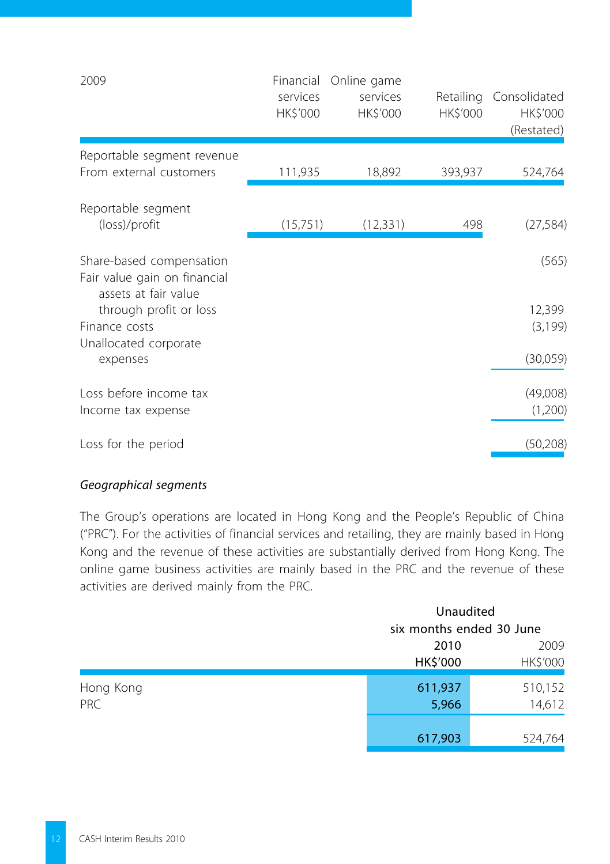| 2009                                                                             | Financial<br>services<br>HK\$'000 | Online game<br>services<br>HK\$'000 | HK\$'000 | Retailing Consolidated<br>HK\$'000<br>(Restated) |
|----------------------------------------------------------------------------------|-----------------------------------|-------------------------------------|----------|--------------------------------------------------|
| Reportable segment revenue<br>From external customers                            | 111,935                           | 18,892                              | 393,937  | 524,764                                          |
| Reportable segment<br>(loss)/profit                                              | (15,751)                          | (12, 331)                           | 498      | (27, 584)                                        |
| Share-based compensation<br>Fair value gain on financial<br>assets at fair value |                                   |                                     |          | (565)                                            |
| through profit or loss<br>Finance costs                                          |                                   |                                     |          | 12,399<br>(3, 199)                               |
| Unallocated corporate<br>expenses                                                |                                   |                                     |          | (30,059)                                         |
| Loss before income tax<br>Income tax expense                                     |                                   |                                     |          | (49,008)<br>(1,200)                              |
| Loss for the period                                                              |                                   |                                     |          | (50, 208)                                        |

## *Geographical segments*

The Group's operations are located in Hong Kong and the People's Republic of China ("PRC"). For the activities of financial services and retailing, they are mainly based in Hong Kong and the revenue of these activities are substantially derived from Hong Kong. The online game business activities are mainly based in the PRC and the revenue of these activities are derived mainly from the PRC.

|                         |                  | Unaudited<br>six months ended 30 June |  |
|-------------------------|------------------|---------------------------------------|--|
|                         | 2010<br>HK\$'000 | 2009<br>HK\$'000                      |  |
| Hong Kong<br><b>PRC</b> | 611,937<br>5,966 | 510,152<br>14,612                     |  |
|                         | 617,903          | 524,764                               |  |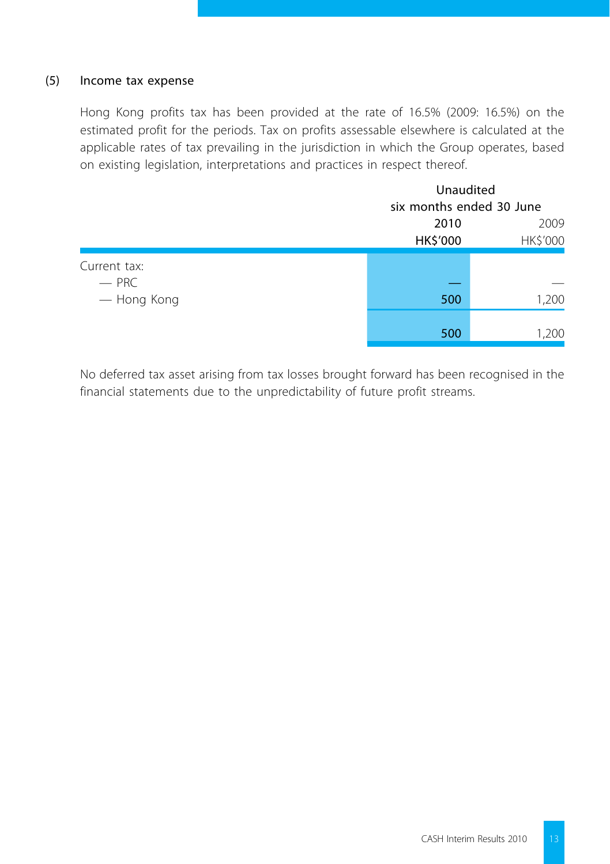## (5) Income tax expense

Hong Kong profits tax has been provided at the rate of 16.5% (2009: 16.5%) on the estimated profit for the periods. Tax on profits assessable elsewhere is calculated at the applicable rates of tax prevailing in the jurisdiction in which the Group operates, based on existing legislation, interpretations and practices in respect thereof.

|                                        |                  | Unaudited<br>six months ended 30 June |  |
|----------------------------------------|------------------|---------------------------------------|--|
|                                        | 2010<br>HK\$'000 | 2009<br>HK\$'000                      |  |
| Current tax:<br>$-$ PRC<br>- Hong Kong | 500              | 1,200                                 |  |
|                                        | 500              | 1,200                                 |  |

No deferred tax asset arising from tax losses brought forward has been recognised in the financial statements due to the unpredictability of future profit streams.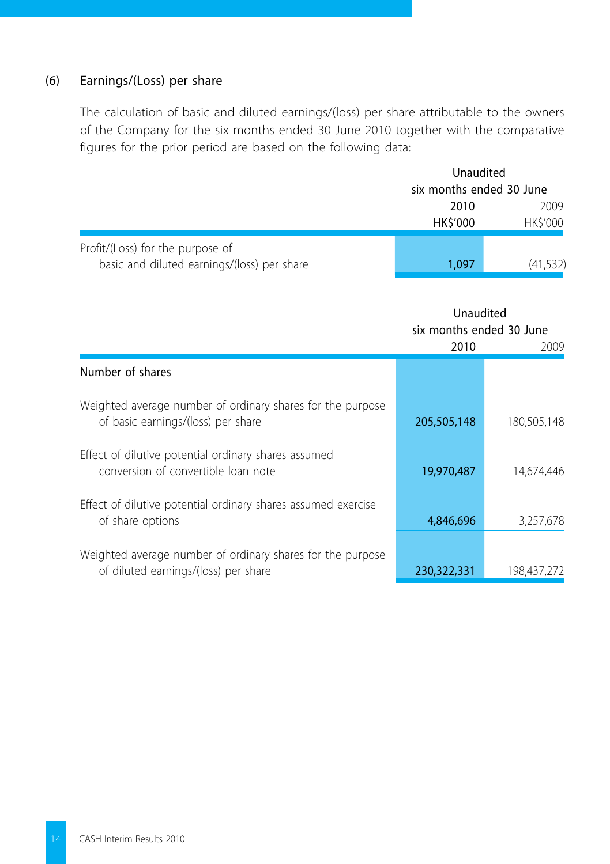## (6) Earnings/(Loss) per share

The calculation of basic and diluted earnings/(loss) per share attributable to the owners of the Company for the six months ended 30 June 2010 together with the comparative figures for the prior period are based on the following data:

|                                                                                 |                         | Unaudited                |  |
|---------------------------------------------------------------------------------|-------------------------|--------------------------|--|
|                                                                                 |                         | six months ended 30 June |  |
|                                                                                 | 2010<br><b>HK\$'000</b> | 2009<br><b>HKS'000</b>   |  |
| Profit/(Loss) for the purpose of<br>basic and diluted earnings/(loss) per share | 1.097                   | (41,532)                 |  |

Unaudited six months ended 30 June

|                                                                                                    | 2010        | 2009        |
|----------------------------------------------------------------------------------------------------|-------------|-------------|
| Number of shares                                                                                   |             |             |
| Weighted average number of ordinary shares for the purpose<br>of basic earnings/(loss) per share   | 205,505,148 | 180.505.148 |
| Effect of dilutive potential ordinary shares assumed<br>conversion of convertible loan note        | 19,970,487  | 14.674.446  |
| Effect of dilutive potential ordinary shares assumed exercise<br>of share options                  | 4,846,696   | 3,257,678   |
| Weighted average number of ordinary shares for the purpose<br>of diluted earnings/(loss) per share | 230.322.331 | 198.437.272 |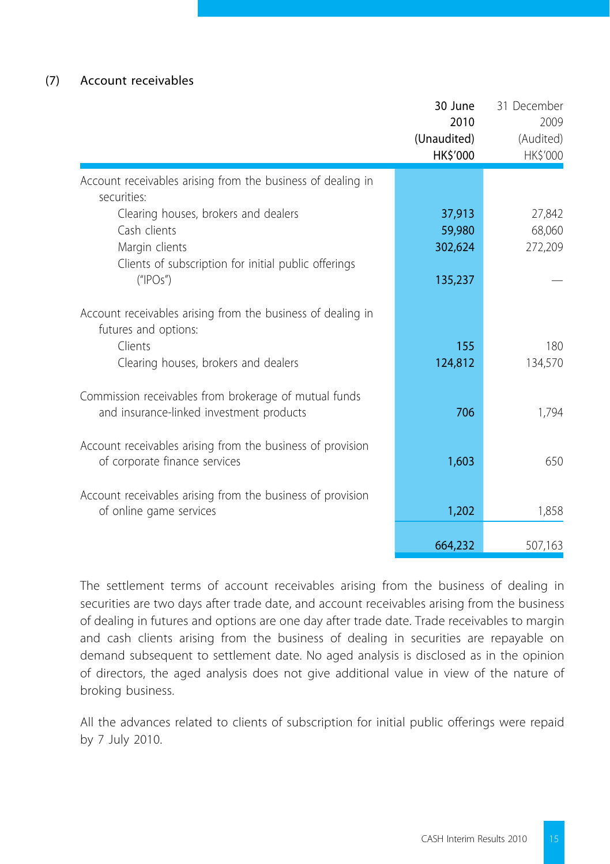## (7) Account receivables

|                                                                                                                                | 30 June<br>2010<br>(Unaudited)<br>HK\$'000 | 31 December<br>2009<br>(Audited)<br>HK\$'000 |
|--------------------------------------------------------------------------------------------------------------------------------|--------------------------------------------|----------------------------------------------|
| Account receivables arising from the business of dealing in<br>securities:                                                     |                                            |                                              |
| Clearing houses, brokers and dealers<br>Cash clients<br>Margin clients<br>Clients of subscription for initial public offerings | 37,913<br>59,980<br>302,624                | 27,842<br>68,060<br>272,209                  |
| ("IPOs")                                                                                                                       | 135,237                                    |                                              |
| Account receivables arising from the business of dealing in<br>futures and options:                                            |                                            |                                              |
| Clients<br>Clearing houses, brokers and dealers                                                                                | 155<br>124,812                             | 180<br>134,570                               |
| Commission receivables from brokerage of mutual funds<br>and insurance-linked investment products                              | 706                                        | 1.794                                        |
| Account receivables arising from the business of provision<br>of corporate finance services                                    | 1,603                                      | 650                                          |
| Account receivables arising from the business of provision<br>of online game services                                          | 1,202                                      | 1,858                                        |
|                                                                                                                                | 664,232                                    | 507,163                                      |

The settlement terms of account receivables arising from the business of dealing in securities are two days after trade date, and account receivables arising from the business of dealing in futures and options are one day after trade date. Trade receivables to margin and cash clients arising from the business of dealing in securities are repayable on demand subsequent to settlement date. No aged analysis is disclosed as in the opinion of directors, the aged analysis does not give additional value in view of the nature of broking business.

All the advances related to clients of subscription for initial public offerings were repaid by 7 July 2010.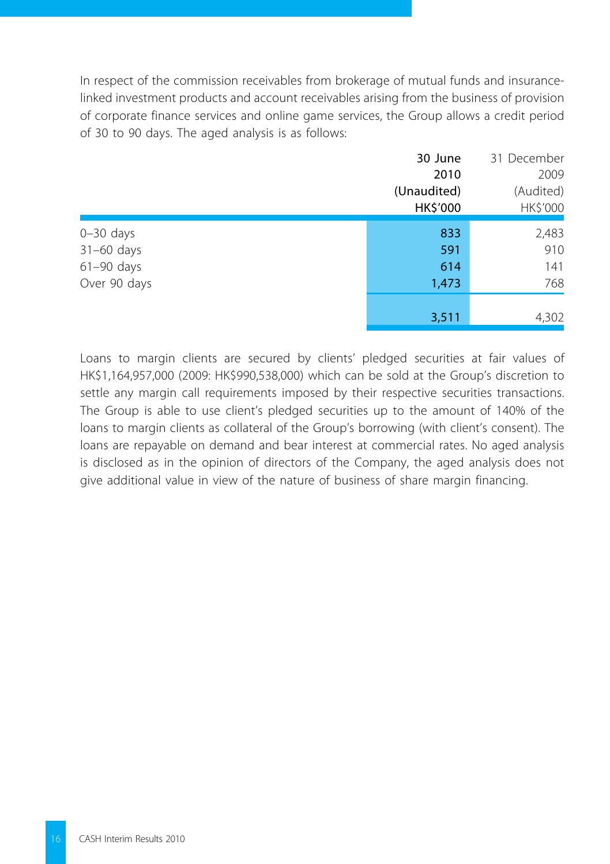In respect of the commission receivables from brokerage of mutual funds and insurancelinked investment products and account receivables arising from the business of provision of corporate finance services and online game services, the Group allows a credit period of 30 to 90 days. The aged analysis is as follows:

|              | 30 June     | 31 December |
|--------------|-------------|-------------|
|              | 2010        | 2009        |
|              | (Unaudited) | (Audited)   |
|              | HK\$'000    | HK\$'000    |
| $0-30$ days  | 833         | 2,483       |
| $31-60$ days | 591         | 910         |
| $61-90$ days | 614         | 141         |
| Over 90 days | 1,473       | 768         |
|              | 3,511       | 4,302       |
|              |             |             |

Loans to margin clients are secured by clients' pledged securities at fair values of HK\$1,164,957,000 (2009: HK\$990,538,000) which can be sold at the Group's discretion to settle any margin call requirements imposed by their respective securities transactions. The Group is able to use client's pledged securities up to the amount of 140% of the loans to margin clients as collateral of the Group's borrowing (with client's consent). The loans are repayable on demand and bear interest at commercial rates. No aged analysis is disclosed as in the opinion of directors of the Company, the aged analysis does not give additional value in view of the nature of business of share margin financing.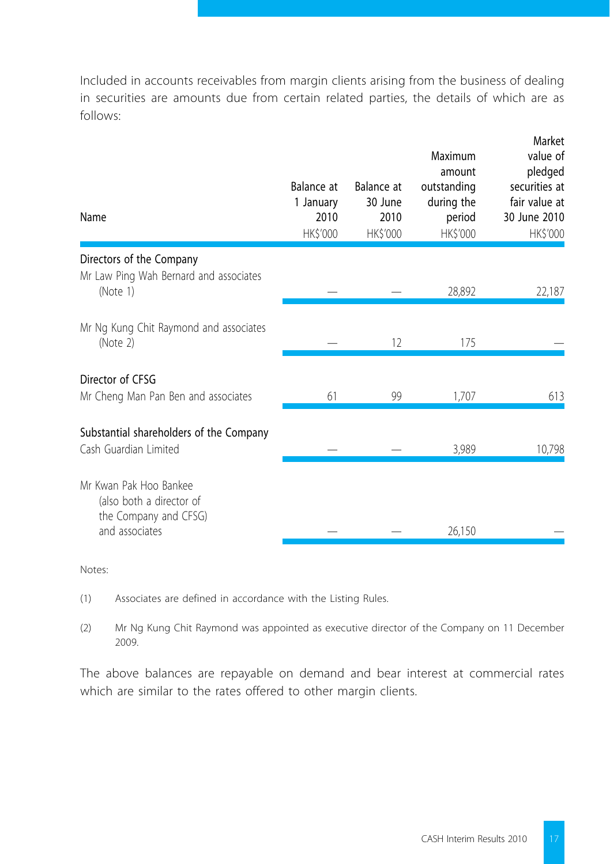Included in accounts receivables from margin clients arising from the business of dealing in securities are amounts due from certain related parties, the details of which are as follows:

| Name                                                                                          | Balance at<br>1 January<br>2010<br>HK\$'000 | Balance at<br>30 June<br>2010<br>HK\$'000 | Maximum<br>amount<br>outstanding<br>during the<br>period<br>HK\$'000 | Market<br>value of<br>pledged<br>securities at<br>fair value at<br>30 June 2010<br>HK\$'000 |
|-----------------------------------------------------------------------------------------------|---------------------------------------------|-------------------------------------------|----------------------------------------------------------------------|---------------------------------------------------------------------------------------------|
| Directors of the Company<br>Mr Law Ping Wah Bernard and associates<br>(Note 1)                |                                             |                                           | 28,892                                                               | 22,187                                                                                      |
| Mr Ng Kung Chit Raymond and associates<br>(Note 2)                                            |                                             | 12                                        | 175                                                                  |                                                                                             |
| Director of CFSG<br>Mr Cheng Man Pan Ben and associates                                       | 61                                          | 99                                        | 1,707                                                                | 613                                                                                         |
| Substantial shareholders of the Company<br>Cash Guardian Limited                              |                                             |                                           | 3,989                                                                | 10,798                                                                                      |
| Mr Kwan Pak Hoo Bankee<br>(also both a director of<br>the Company and CFSG)<br>and associates |                                             |                                           | 26,150                                                               |                                                                                             |

Notes:

- (1) Associates are defined in accordance with the Listing Rules.
- (2) Mr Ng Kung Chit Raymond was appointed as executive director of the Company on 11 December 2009.

The above balances are repayable on demand and bear interest at commercial rates which are similar to the rates offered to other margin clients.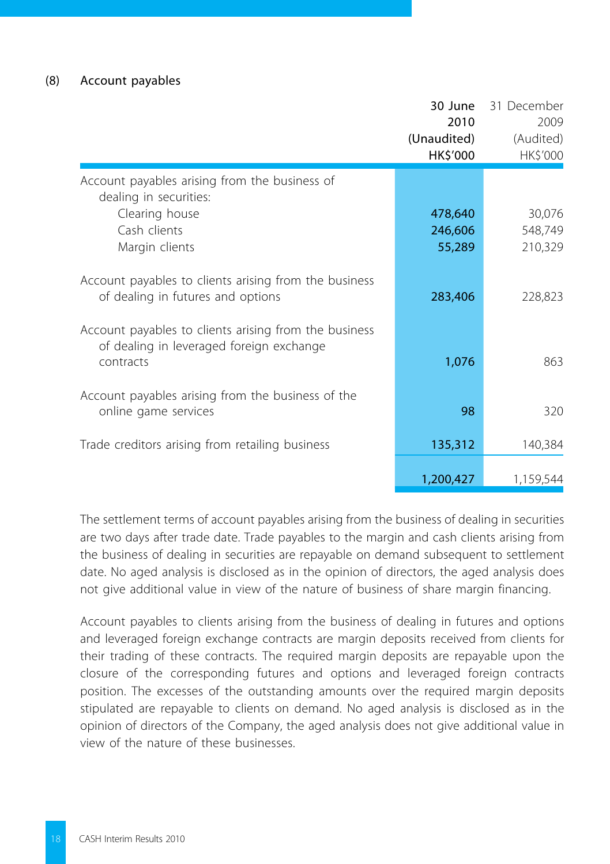#### (8) Account payables

|                                                                                                                             | 30 June<br>2010<br>(Unaudited)<br>HK\$'000 | 31 December<br>2009<br>(Audited)<br>HK\$'000 |
|-----------------------------------------------------------------------------------------------------------------------------|--------------------------------------------|----------------------------------------------|
| Account payables arising from the business of<br>dealing in securities:<br>Clearing house<br>Cash clients<br>Margin clients | 478,640<br>246,606<br>55,289               | 30,076<br>548,749<br>210,329                 |
| Account payables to clients arising from the business<br>of dealing in futures and options                                  | 283,406                                    | 228,823                                      |
| Account payables to clients arising from the business<br>of dealing in leveraged foreign exchange<br>contracts              | 1,076                                      | 863                                          |
| Account payables arising from the business of the<br>online game services                                                   | 98                                         | 320                                          |
| Trade creditors arising from retailing business                                                                             | 135,312                                    | 140,384                                      |
|                                                                                                                             | 1,200,427                                  | 1,159,544                                    |

The settlement terms of account payables arising from the business of dealing in securities are two days after trade date. Trade payables to the margin and cash clients arising from the business of dealing in securities are repayable on demand subsequent to settlement date. No aged analysis is disclosed as in the opinion of directors, the aged analysis does not give additional value in view of the nature of business of share margin financing.

Account payables to clients arising from the business of dealing in futures and options and leveraged foreign exchange contracts are margin deposits received from clients for their trading of these contracts. The required margin deposits are repayable upon the closure of the corresponding futures and options and leveraged foreign contracts position. The excesses of the outstanding amounts over the required margin deposits stipulated are repayable to clients on demand. No aged analysis is disclosed as in the opinion of directors of the Company, the aged analysis does not give additional value in view of the nature of these businesses.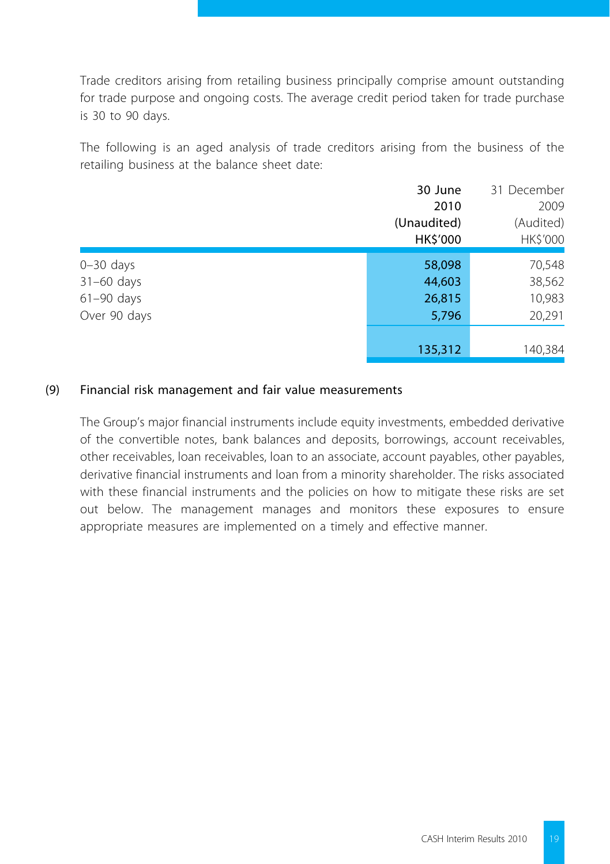Trade creditors arising from retailing business principally comprise amount outstanding for trade purpose and ongoing costs. The average credit period taken for trade purchase is 30 to 90 days.

The following is an aged analysis of trade creditors arising from the business of the retailing business at the balance sheet date:

|              | 30 June     | 31 December |
|--------------|-------------|-------------|
|              | 2010        | 2009        |
|              | (Unaudited) | (Audited)   |
|              | HK\$'000    | HK\$'000    |
| $0-30$ days  | 58,098      | 70,548      |
| $31-60$ days | 44,603      | 38,562      |
| $61-90$ days | 26,815      | 10,983      |
| Over 90 days | 5,796       | 20,291      |
|              |             |             |
|              | 135,312     | 140,384     |

## (9) Financial risk management and fair value measurements

The Group's major financial instruments include equity investments, embedded derivative of the convertible notes, bank balances and deposits, borrowings, account receivables, other receivables, loan receivables, loan to an associate, account payables, other payables, derivative financial instruments and loan from a minority shareholder. The risks associated with these financial instruments and the policies on how to mitigate these risks are set out below. The management manages and monitors these exposures to ensure appropriate measures are implemented on a timely and effective manner.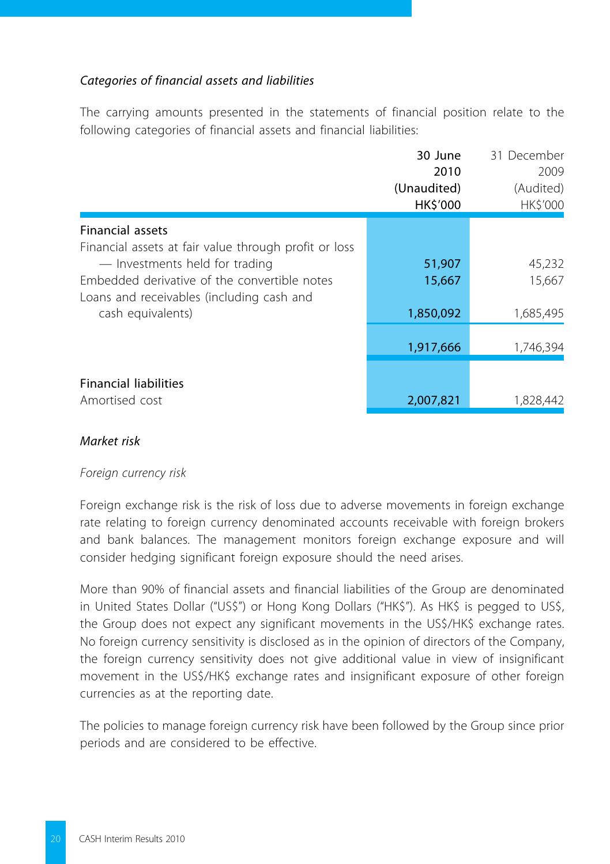## *Categories of financial assets and liabilities*

The carrying amounts presented in the statements of financial position relate to the following categories of financial assets and financial liabilities:

|                                                                                                                                                                                      | 30 June<br>2010<br>(Unaudited)<br>HK\$'000 | 31 December<br>2009<br>(Audited)<br>HK\$'000 |
|--------------------------------------------------------------------------------------------------------------------------------------------------------------------------------------|--------------------------------------------|----------------------------------------------|
| <b>Financial assets</b>                                                                                                                                                              |                                            |                                              |
| Financial assets at fair value through profit or loss<br>- Investments held for trading<br>Embedded derivative of the convertible notes<br>Loans and receivables (including cash and | 51,907<br>15,667                           | 45,232<br>15.667                             |
| cash equivalents)                                                                                                                                                                    | 1,850,092                                  | 1,685,495                                    |
|                                                                                                                                                                                      | 1,917,666                                  | 1,746,394                                    |
| <b>Financial liabilities</b><br>Amortised cost                                                                                                                                       | 2,007,821                                  | 1.828.442                                    |

### *Market risk*

#### *Foreign currency risk*

Foreign exchange risk is the risk of loss due to adverse movements in foreign exchange rate relating to foreign currency denominated accounts receivable with foreign brokers and bank balances. The management monitors foreign exchange exposure and will consider hedging significant foreign exposure should the need arises.

More than 90% of financial assets and financial liabilities of the Group are denominated in United States Dollar ("US\$") or Hong Kong Dollars ("HK\$"). As HK\$ is pegged to US\$, the Group does not expect any significant movements in the US\$/HK\$ exchange rates. No foreign currency sensitivity is disclosed as in the opinion of directors of the Company, the foreign currency sensitivity does not give additional value in view of insignificant movement in the US\$/HK\$ exchange rates and insignificant exposure of other foreign currencies as at the reporting date.

The policies to manage foreign currency risk have been followed by the Group since prior periods and are considered to be effective.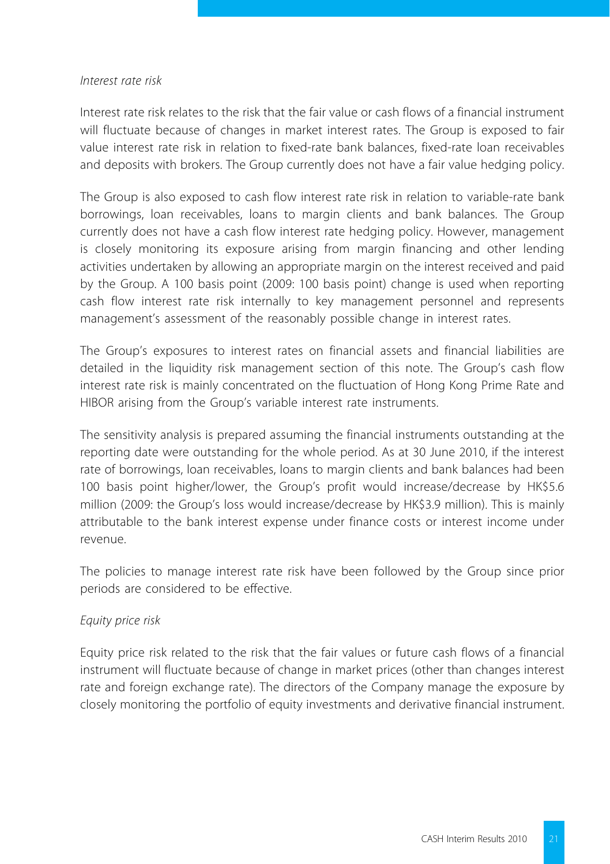#### *Interest rate risk*

Interest rate risk relates to the risk that the fair value or cash flows of a financial instrument will fluctuate because of changes in market interest rates. The Group is exposed to fair value interest rate risk in relation to fixed-rate bank balances, fixed-rate loan receivables and deposits with brokers. The Group currently does not have a fair value hedging policy.

The Group is also exposed to cash flow interest rate risk in relation to variable-rate bank borrowings, loan receivables, loans to margin clients and bank balances. The Group currently does not have a cash flow interest rate hedging policy. However, management is closely monitoring its exposure arising from margin financing and other lending activities undertaken by allowing an appropriate margin on the interest received and paid by the Group. A 100 basis point (2009: 100 basis point) change is used when reporting cash flow interest rate risk internally to key management personnel and represents management's assessment of the reasonably possible change in interest rates.

The Group's exposures to interest rates on financial assets and financial liabilities are detailed in the liquidity risk management section of this note. The Group's cash flow interest rate risk is mainly concentrated on the fluctuation of Hong Kong Prime Rate and HIBOR arising from the Group's variable interest rate instruments.

The sensitivity analysis is prepared assuming the financial instruments outstanding at the reporting date were outstanding for the whole period. As at 30 June 2010, if the interest rate of borrowings, loan receivables, loans to margin clients and bank balances had been 100 basis point higher/lower, the Group's profit would increase/decrease by HK\$5.6 million (2009: the Group's loss would increase/decrease by HK\$3.9 million). This is mainly attributable to the bank interest expense under finance costs or interest income under revenue.

The policies to manage interest rate risk have been followed by the Group since prior periods are considered to be effective.

#### *Equity price risk*

Equity price risk related to the risk that the fair values or future cash flows of a financial instrument will fluctuate because of change in market prices (other than changes interest rate and foreign exchange rate). The directors of the Company manage the exposure by closely monitoring the portfolio of equity investments and derivative financial instrument.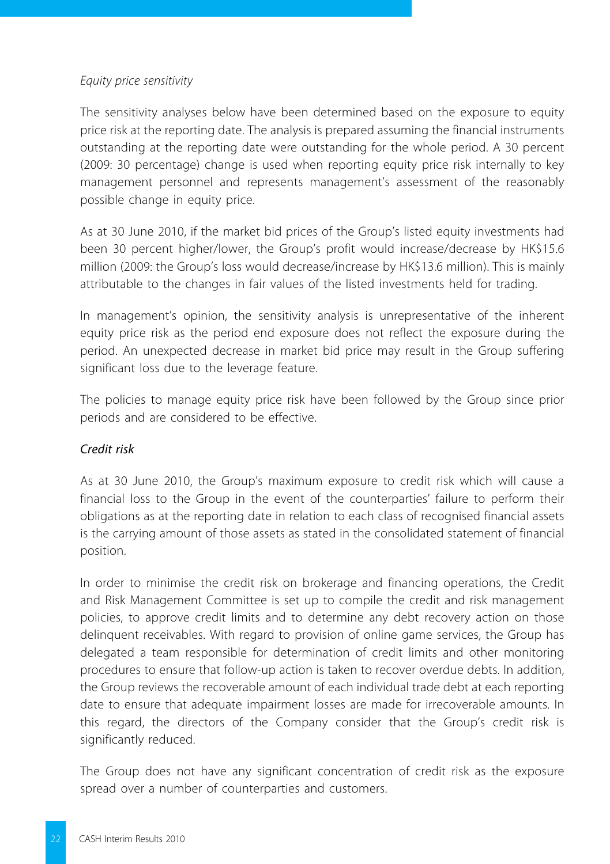#### *Equity price sensitivity*

The sensitivity analyses below have been determined based on the exposure to equity price risk at the reporting date. The analysis is prepared assuming the financial instruments outstanding at the reporting date were outstanding for the whole period. A 30 percent (2009: 30 percentage) change is used when reporting equity price risk internally to key management personnel and represents management's assessment of the reasonably possible change in equity price.

As at 30 June 2010, if the market bid prices of the Group's listed equity investments had been 30 percent higher/lower, the Group's profit would increase/decrease by HK\$15.6 million (2009: the Group's loss would decrease/increase by HK\$13.6 million). This is mainly attributable to the changes in fair values of the listed investments held for trading.

In management's opinion, the sensitivity analysis is unrepresentative of the inherent equity price risk as the period end exposure does not reflect the exposure during the period. An unexpected decrease in market bid price may result in the Group suffering significant loss due to the leverage feature.

The policies to manage equity price risk have been followed by the Group since prior periods and are considered to be effective.

## *Credit risk*

As at 30 June 2010, the Group's maximum exposure to credit risk which will cause a financial loss to the Group in the event of the counterparties' failure to perform their obligations as at the reporting date in relation to each class of recognised financial assets is the carrying amount of those assets as stated in the consolidated statement of financial position.

In order to minimise the credit risk on brokerage and financing operations, the Credit and Risk Management Committee is set up to compile the credit and risk management policies, to approve credit limits and to determine any debt recovery action on those delinquent receivables. With regard to provision of online game services, the Group has delegated a team responsible for determination of credit limits and other monitoring procedures to ensure that follow-up action is taken to recover overdue debts. In addition, the Group reviews the recoverable amount of each individual trade debt at each reporting date to ensure that adequate impairment losses are made for irrecoverable amounts. In this regard, the directors of the Company consider that the Group's credit risk is significantly reduced.

The Group does not have any significant concentration of credit risk as the exposure spread over a number of counterparties and customers.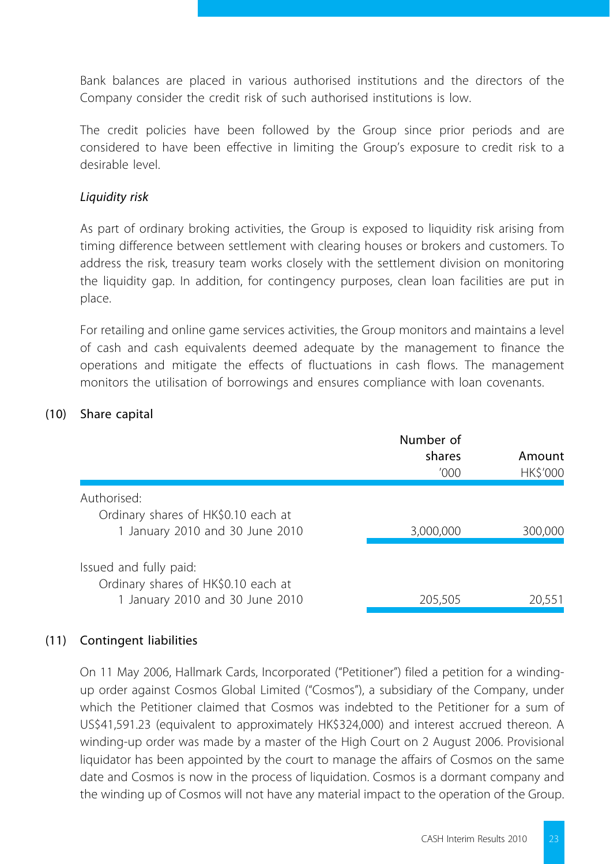Bank balances are placed in various authorised institutions and the directors of the Company consider the credit risk of such authorised institutions is low.

The credit policies have been followed by the Group since prior periods and are considered to have been effective in limiting the Group's exposure to credit risk to a desirable level.

### *Liquidity risk*

As part of ordinary broking activities, the Group is exposed to liquidity risk arising from timing difference between settlement with clearing houses or brokers and customers. To address the risk, treasury team works closely with the settlement division on monitoring the liquidity gap. In addition, for contingency purposes, clean loan facilities are put in place.

For retailing and online game services activities, the Group monitors and maintains a level of cash and cash equivalents deemed adequate by the management to finance the operations and mitigate the effects of fluctuations in cash flows. The management monitors the utilisation of borrowings and ensures compliance with loan covenants.

#### (10) Share capital

|                                                               | Number of<br>shares<br>'000' | Amount<br><b>HKS'000</b> |
|---------------------------------------------------------------|------------------------------|--------------------------|
| Authorised:<br>Ordinary shares of HK\$0.10 each at            |                              |                          |
| 1 January 2010 and 30 June 2010                               | 3,000,000                    | 300,000                  |
| Issued and fully paid:<br>Ordinary shares of HK\$0.10 each at |                              |                          |
| 1 January 2010 and 30 June 2010                               | 205,505                      | 20.551                   |

## (11) Contingent liabilities

On 11 May 2006, Hallmark Cards, Incorporated ("Petitioner") filed a petition for a windingup order against Cosmos Global Limited ("Cosmos"), a subsidiary of the Company, under which the Petitioner claimed that Cosmos was indebted to the Petitioner for a sum of US\$41,591.23 (equivalent to approximately HK\$324,000) and interest accrued thereon. A winding-up order was made by a master of the High Court on 2 August 2006. Provisional liquidator has been appointed by the court to manage the affairs of Cosmos on the same date and Cosmos is now in the process of liquidation. Cosmos is a dormant company and the winding up of Cosmos will not have any material impact to the operation of the Group.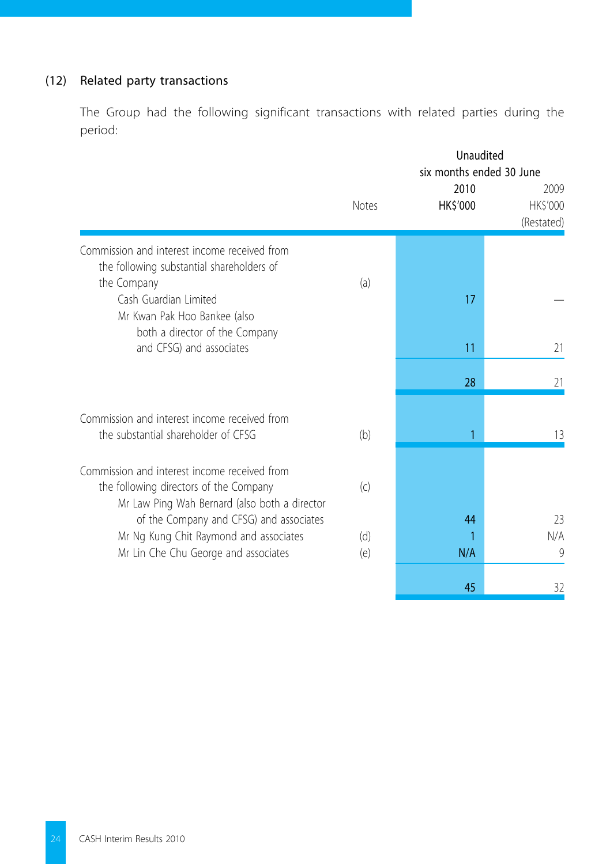## (12) Related party transactions

The Group had the following significant transactions with related parties during the period:

|                                               |       | Unaudited<br>six months ended 30 June |                                |
|-----------------------------------------------|-------|---------------------------------------|--------------------------------|
|                                               | Notes | 2010<br><b>HKS'000</b>                | 2009<br>HK\$'000<br>(Restated) |
| Commission and interest income received from  |       |                                       |                                |
| the following substantial shareholders of     |       |                                       |                                |
| the Company<br>Cash Guardian Limited          | (a)   | 17                                    |                                |
| Mr Kwan Pak Hoo Bankee (also                  |       |                                       |                                |
| both a director of the Company                |       |                                       |                                |
| and CFSG) and associates                      |       | 11                                    | 21                             |
|                                               |       | 28                                    | 21                             |
|                                               |       |                                       |                                |
| Commission and interest income received from  |       |                                       |                                |
| the substantial shareholder of CFSG           | (b)   | 1                                     | 13                             |
| Commission and interest income received from  |       |                                       |                                |
| the following directors of the Company        | (c)   |                                       |                                |
| Mr Law Ping Wah Bernard (also both a director |       |                                       |                                |
| of the Company and CFSG) and associates       |       | 44                                    | 23                             |
| Mr Ng Kung Chit Raymond and associates        | (d)   | 1                                     | N/A                            |
| Mr Lin Che Chu George and associates          | (e)   | N/A                                   | 9                              |
|                                               |       | 45                                    | 32                             |
|                                               |       |                                       |                                |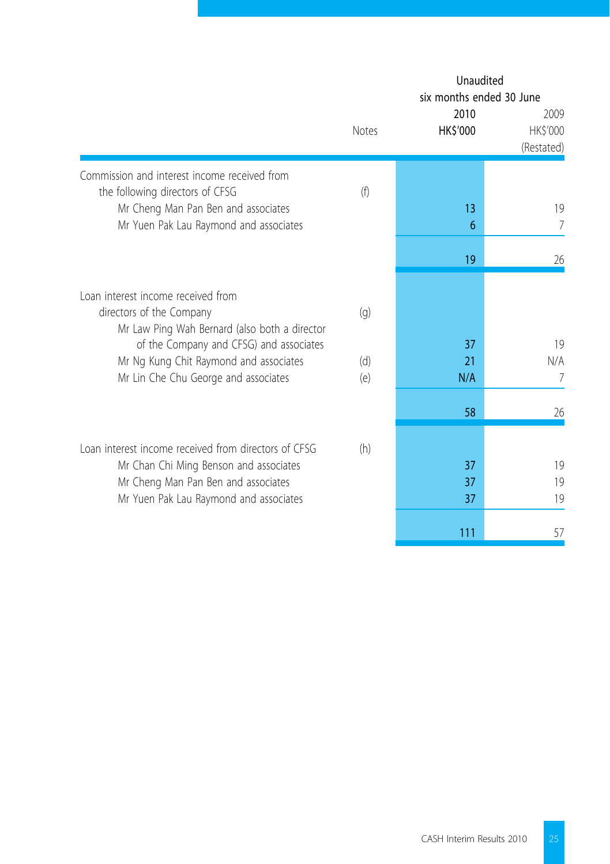|                                                                                                                                                                                 |       | Unaudited<br>six months ended 30 June<br>2010 | 2009                   |
|---------------------------------------------------------------------------------------------------------------------------------------------------------------------------------|-------|-----------------------------------------------|------------------------|
|                                                                                                                                                                                 | Notes | HK\$'000                                      | HK\$'000<br>(Restated) |
| Commission and interest income received from<br>the following directors of CFSG                                                                                                 | (f)   |                                               |                        |
| Mr Cheng Man Pan Ben and associates<br>Mr Yuen Pak Lau Raymond and associates                                                                                                   |       | 13<br>6                                       | 19<br>7                |
|                                                                                                                                                                                 |       | 19                                            | 26                     |
| Loan interest income received from<br>directors of the Company<br>Mr Law Ping Wah Bernard (also both a director                                                                 | (q)   |                                               |                        |
| of the Company and CFSG) and associates<br>Mr Ng Kung Chit Raymond and associates                                                                                               | (d)   | 37<br>21                                      | 19<br>N/A              |
| Mr Lin Che Chu George and associates                                                                                                                                            | (e)   | N/A                                           | 7                      |
|                                                                                                                                                                                 |       | 58                                            | 26                     |
| Loan interest income received from directors of CESG<br>Mr Chan Chi Ming Benson and associates<br>Mr Cheng Man Pan Ben and associates<br>Mr Yuen Pak Lau Raymond and associates | (h)   | 37<br>37<br>37                                | 19<br>19<br>19         |
|                                                                                                                                                                                 |       | 111                                           | 57                     |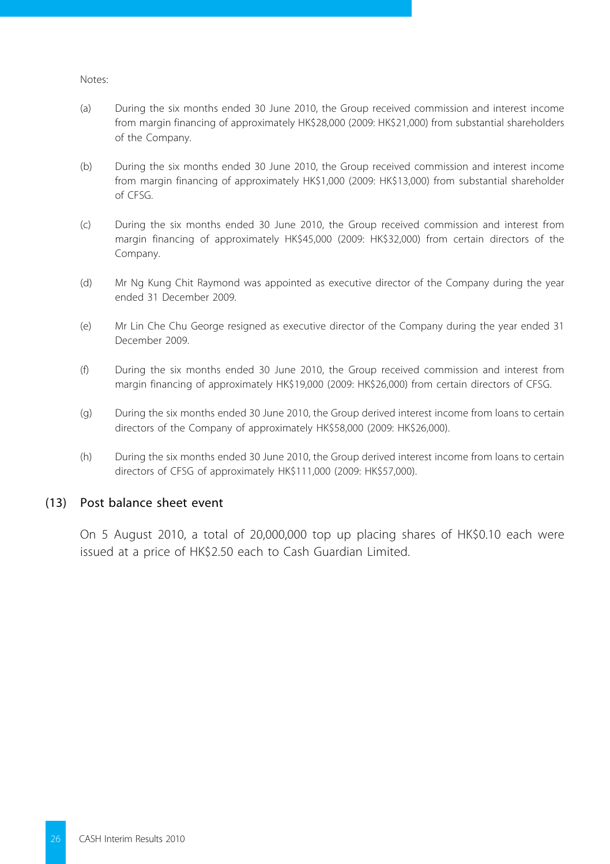#### Notes:

- (a) During the six months ended 30 June 2010, the Group received commission and interest income from margin financing of approximately HK\$28,000 (2009: HK\$21,000) from substantial shareholders of the Company.
- (b) During the six months ended 30 June 2010, the Group received commission and interest income from margin financing of approximately HK\$1,000 (2009: HK\$13,000) from substantial shareholder of CFSG.
- (c) During the six months ended 30 June 2010, the Group received commission and interest from margin financing of approximately HK\$45,000 (2009: HK\$32,000) from certain directors of the Company.
- (d) Mr Ng Kung Chit Raymond was appointed as executive director of the Company during the year ended 31 December 2009.
- (e) Mr Lin Che Chu George resigned as executive director of the Company during the year ended 31 December 2009.
- (f) During the six months ended 30 June 2010, the Group received commission and interest from margin financing of approximately HK\$19,000 (2009: HK\$26,000) from certain directors of CFSG.
- (g) During the six months ended 30 June 2010, the Group derived interest income from loans to certain directors of the Company of approximately HK\$58,000 (2009: HK\$26,000).
- (h) During the six months ended 30 June 2010, the Group derived interest income from loans to certain directors of CFSG of approximately HK\$111,000 (2009: HK\$57,000).

#### (13) Post balance sheet event

On 5 August 2010, a total of 20,000,000 top up placing shares of HK\$0.10 each were issued at a price of HK\$2.50 each to Cash Guardian Limited.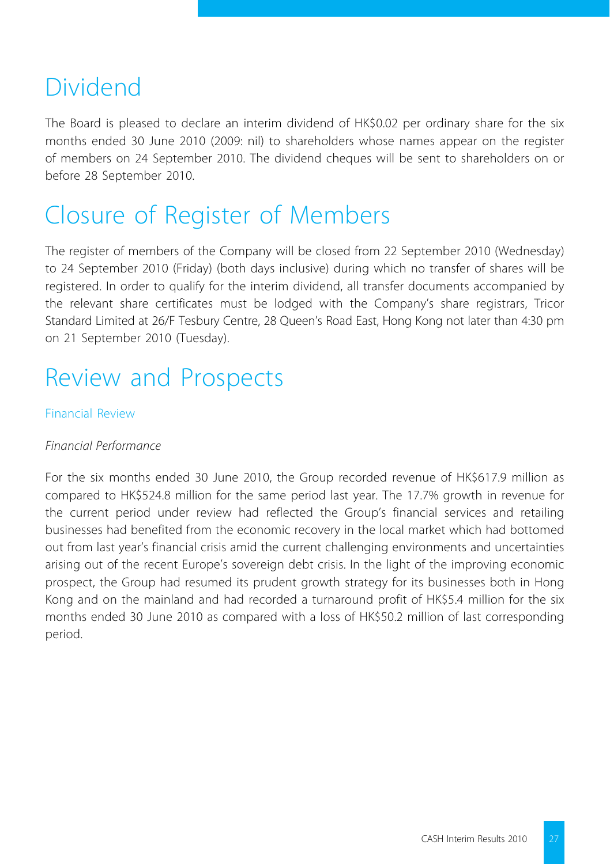## Dividend

The Board is pleased to declare an interim dividend of HK\$0.02 per ordinary share for the six months ended 30 June 2010 (2009: nil) to shareholders whose names appear on the register of members on 24 September 2010. The dividend cheques will be sent to shareholders on or before 28 September 2010.

# Closure of Register of Members

The register of members of the Company will be closed from 22 September 2010 (Wednesday) to 24 September 2010 (Friday) (both days inclusive) during which no transfer of shares will be registered. In order to qualify for the interim dividend, all transfer documents accompanied by the relevant share certificates must be lodged with the Company's share registrars, Tricor Standard Limited at 26/F Tesbury Centre, 28 Queen's Road East, Hong Kong not later than 4:30 pm on 21 September 2010 (Tuesday).

## Review and Prospects

## Financial Review

## *Financial Performance*

For the six months ended 30 June 2010, the Group recorded revenue of HK\$617.9 million as compared to HK\$524.8 million for the same period last year. The 17.7% growth in revenue for the current period under review had reflected the Group's financial services and retailing businesses had benefited from the economic recovery in the local market which had bottomed out from last year's financial crisis amid the current challenging environments and uncertainties arising out of the recent Europe's sovereign debt crisis. In the light of the improving economic prospect, the Group had resumed its prudent growth strategy for its businesses both in Hong Kong and on the mainland and had recorded a turnaround profit of HK\$5.4 million for the six months ended 30 June 2010 as compared with a loss of HK\$50.2 million of last corresponding period.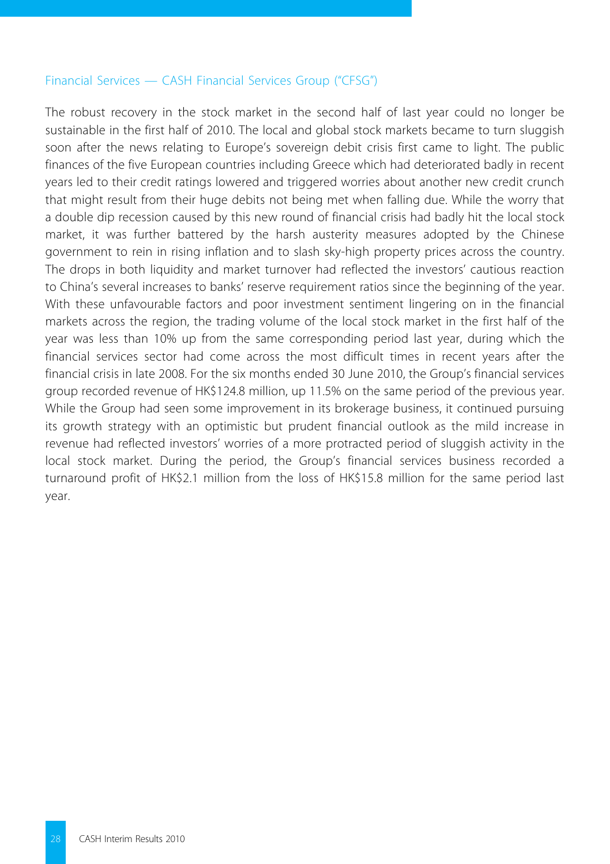#### Financial Services — CASH Financial Services Group ("CFSG")

The robust recovery in the stock market in the second half of last year could no longer be sustainable in the first half of 2010. The local and global stock markets became to turn sluggish soon after the news relating to Europe's sovereign debit crisis first came to light. The public finances of the five European countries including Greece which had deteriorated badly in recent years led to their credit ratings lowered and triggered worries about another new credit crunch that might result from their huge debits not being met when falling due. While the worry that a double dip recession caused by this new round of financial crisis had badly hit the local stock market, it was further battered by the harsh austerity measures adopted by the Chinese government to rein in rising inflation and to slash sky-high property prices across the country. The drops in both liquidity and market turnover had reflected the investors' cautious reaction to China's several increases to banks' reserve requirement ratios since the beginning of the year. With these unfavourable factors and poor investment sentiment lingering on in the financial markets across the region, the trading volume of the local stock market in the first half of the year was less than 10% up from the same corresponding period last year, during which the financial services sector had come across the most difficult times in recent years after the financial crisis in late 2008. For the six months ended 30 June 2010, the Group's financial services group recorded revenue of HK\$124.8 million, up 11.5% on the same period of the previous year. While the Group had seen some improvement in its brokerage business, it continued pursuing its growth strategy with an optimistic but prudent financial outlook as the mild increase in revenue had reflected investors' worries of a more protracted period of sluggish activity in the local stock market. During the period, the Group's financial services business recorded a turnaround profit of HK\$2.1 million from the loss of HK\$15.8 million for the same period last year.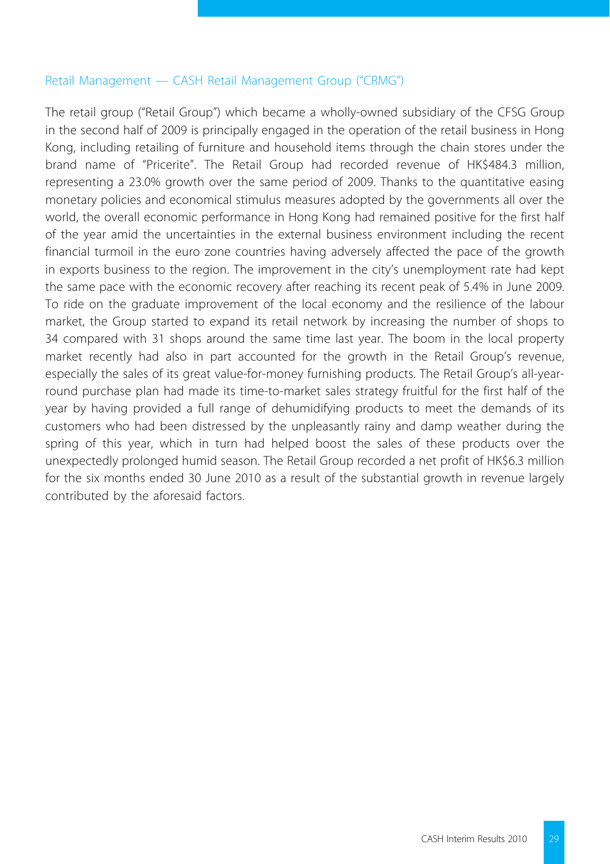#### Retail Management — CASH Retail Management Group ("CRMG")

The retail group ("Retail Group") which became a wholly-owned subsidiary of the CFSG Group in the second half of 2009 is principally engaged in the operation of the retail business in Hong Kong, including retailing of furniture and household items through the chain stores under the brand name of "Pricerite". The Retail Group had recorded revenue of HK\$484.3 million, representing a 23.0% growth over the same period of 2009. Thanks to the quantitative easing monetary policies and economical stimulus measures adopted by the governments all over the world, the overall economic performance in Hong Kong had remained positive for the first half of the year amid the uncertainties in the external business environment including the recent financial turmoil in the euro zone countries having adversely affected the pace of the growth in exports business to the region. The improvement in the city's unemployment rate had kept the same pace with the economic recovery after reaching its recent peak of 5.4% in June 2009. To ride on the graduate improvement of the local economy and the resilience of the labour market, the Group started to expand its retail network by increasing the number of shops to 34 compared with 31 shops around the same time last year. The boom in the local property market recently had also in part accounted for the growth in the Retail Group's revenue, especially the sales of its great value-for-money furnishing products. The Retail Group's all-yearround purchase plan had made its time-to-market sales strategy fruitful for the first half of the year by having provided a full range of dehumidifying products to meet the demands of its customers who had been distressed by the unpleasantly rainy and damp weather during the spring of this year, which in turn had helped boost the sales of these products over the unexpectedly prolonged humid season. The Retail Group recorded a net profit of HK\$6.3 million for the six months ended 30 June 2010 as a result of the substantial growth in revenue largely contributed by the aforesaid factors.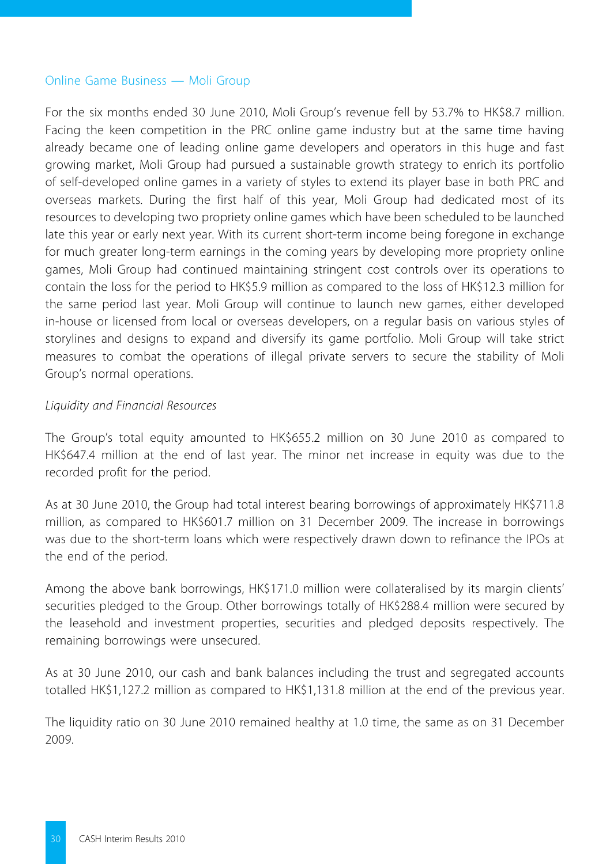#### Online Game Business — Moli Group

For the six months ended 30 June 2010, Moli Group's revenue fell by 53.7% to HK\$8.7 million. Facing the keen competition in the PRC online game industry but at the same time having already became one of leading online game developers and operators in this huge and fast growing market, Moli Group had pursued a sustainable growth strategy to enrich its portfolio of self-developed online games in a variety of styles to extend its player base in both PRC and overseas markets. During the first half of this year, Moli Group had dedicated most of its resources to developing two propriety online games which have been scheduled to be launched late this year or early next year. With its current short-term income being foregone in exchange for much greater long-term earnings in the coming years by developing more propriety online games, Moli Group had continued maintaining stringent cost controls over its operations to contain the loss for the period to HK\$5.9 million as compared to the loss of HK\$12.3 million for the same period last year. Moli Group will continue to launch new games, either developed in-house or licensed from local or overseas developers, on a regular basis on various styles of storylines and designs to expand and diversify its game portfolio. Moli Group will take strict measures to combat the operations of illegal private servers to secure the stability of Moli Group's normal operations.

#### *Liquidity and Financial Resources*

The Group's total equity amounted to HK\$655.2 million on 30 June 2010 as compared to HK\$647.4 million at the end of last year. The minor net increase in equity was due to the recorded profit for the period.

As at 30 June 2010, the Group had total interest bearing borrowings of approximately HK\$711.8 million, as compared to HK\$601.7 million on 31 December 2009. The increase in borrowings was due to the short-term loans which were respectively drawn down to refinance the IPOs at the end of the period.

Among the above bank borrowings, HK\$171.0 million were collateralised by its margin clients' securities pledged to the Group. Other borrowings totally of HK\$288.4 million were secured by the leasehold and investment properties, securities and pledged deposits respectively. The remaining borrowings were unsecured.

As at 30 June 2010, our cash and bank balances including the trust and segregated accounts totalled HK\$1,127.2 million as compared to HK\$1,131.8 million at the end of the previous year.

The liquidity ratio on 30 June 2010 remained healthy at 1.0 time, the same as on 31 December 2009.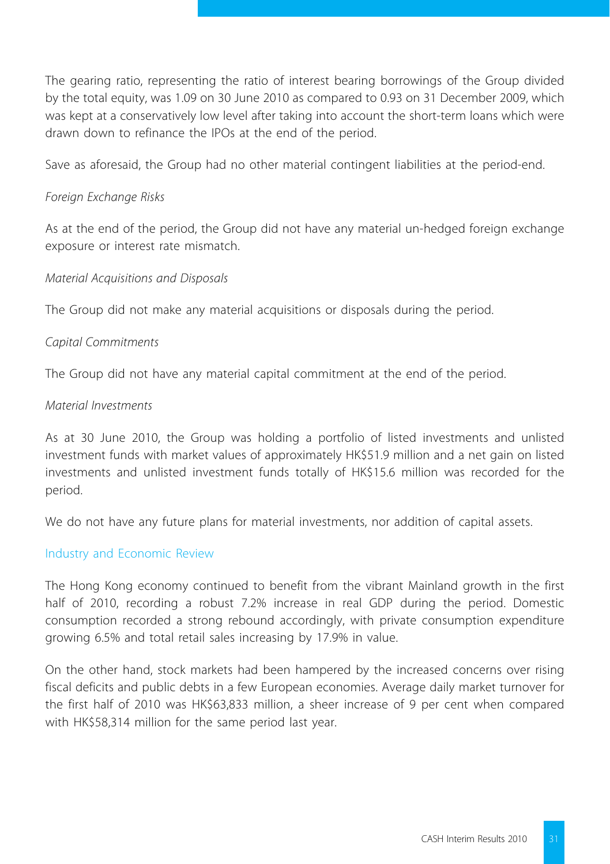The gearing ratio, representing the ratio of interest bearing borrowings of the Group divided by the total equity, was 1.09 on 30 June 2010 as compared to 0.93 on 31 December 2009, which was kept at a conservatively low level after taking into account the short-term loans which were drawn down to refinance the IPOs at the end of the period.

Save as aforesaid, the Group had no other material contingent liabilities at the period-end.

## *Foreign Exchange Risks*

As at the end of the period, the Group did not have any material un-hedged foreign exchange exposure or interest rate mismatch.

## *Material Acquisitions and Disposals*

The Group did not make any material acquisitions or disposals during the period.

## *Capital Commitments*

The Group did not have any material capital commitment at the end of the period.

#### *Material Investments*

As at 30 June 2010, the Group was holding a portfolio of listed investments and unlisted investment funds with market values of approximately HK\$51.9 million and a net gain on listed investments and unlisted investment funds totally of HK\$15.6 million was recorded for the period.

We do not have any future plans for material investments, nor addition of capital assets.

## Industry and Economic Review

The Hong Kong economy continued to benefit from the vibrant Mainland growth in the first half of 2010, recording a robust 7.2% increase in real GDP during the period. Domestic consumption recorded a strong rebound accordingly, with private consumption expenditure growing 6.5% and total retail sales increasing by 17.9% in value.

On the other hand, stock markets had been hampered by the increased concerns over rising fiscal deficits and public debts in a few European economies. Average daily market turnover for the first half of 2010 was HK\$63,833 million, a sheer increase of 9 per cent when compared with HK\$58,314 million for the same period last year.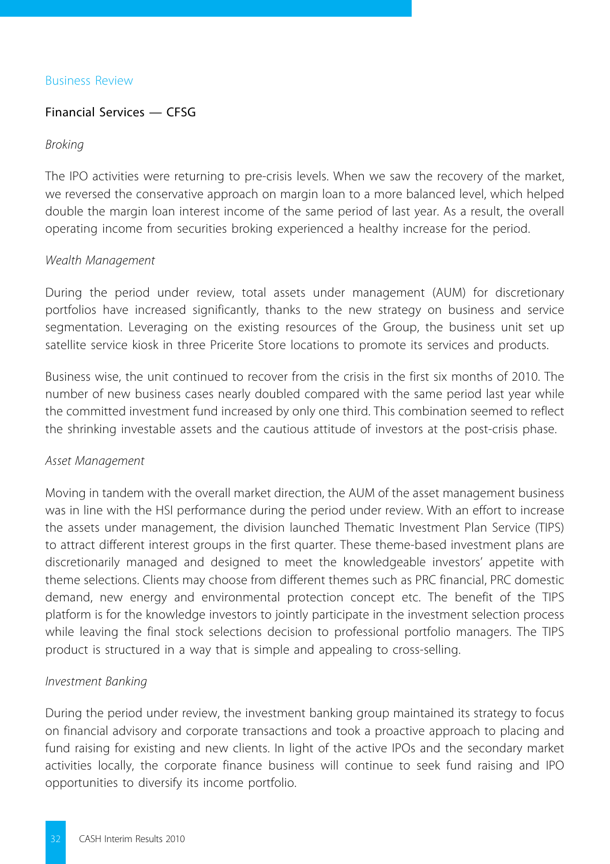#### Business Review

### Financial Services — CFSG

#### *Broking*

The IPO activities were returning to pre-crisis levels. When we saw the recovery of the market, we reversed the conservative approach on margin loan to a more balanced level, which helped double the margin loan interest income of the same period of last year. As a result, the overall operating income from securities broking experienced a healthy increase for the period.

#### *Wealth Management*

During the period under review, total assets under management (AUM) for discretionary portfolios have increased significantly, thanks to the new strategy on business and service segmentation. Leveraging on the existing resources of the Group, the business unit set up satellite service kiosk in three Pricerite Store locations to promote its services and products.

Business wise, the unit continued to recover from the crisis in the first six months of 2010. The number of new business cases nearly doubled compared with the same period last year while the committed investment fund increased by only one third. This combination seemed to reflect the shrinking investable assets and the cautious attitude of investors at the post-crisis phase.

#### *Asset Management*

Moving in tandem with the overall market direction, the AUM of the asset management business was in line with the HSI performance during the period under review. With an effort to increase the assets under management, the division launched Thematic Investment Plan Service (TIPS) to attract different interest groups in the first quarter. These theme-based investment plans are discretionarily managed and designed to meet the knowledgeable investors' appetite with theme selections. Clients may choose from different themes such as PRC financial, PRC domestic demand, new energy and environmental protection concept etc. The benefit of the TIPS platform is for the knowledge investors to jointly participate in the investment selection process while leaving the final stock selections decision to professional portfolio managers. The TIPS product is structured in a way that is simple and appealing to cross-selling.

## *Investment Banking*

During the period under review, the investment banking group maintained its strategy to focus on financial advisory and corporate transactions and took a proactive approach to placing and fund raising for existing and new clients. In light of the active IPOs and the secondary market activities locally, the corporate finance business will continue to seek fund raising and IPO opportunities to diversify its income portfolio.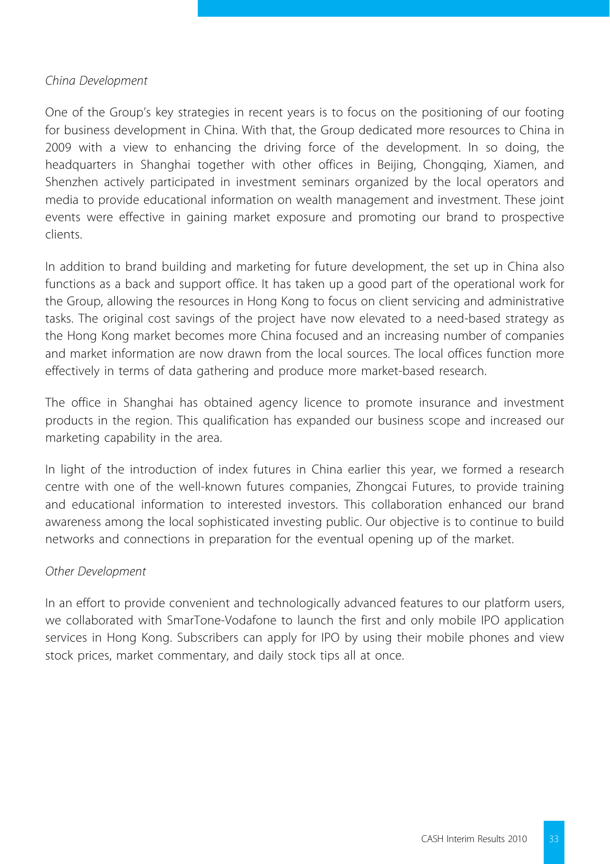### *China Development*

One of the Group's key strategies in recent years is to focus on the positioning of our footing for business development in China. With that, the Group dedicated more resources to China in 2009 with a view to enhancing the driving force of the development. In so doing, the headquarters in Shanghai together with other offices in Beijing, Chongqing, Xiamen, and Shenzhen actively participated in investment seminars organized by the local operators and media to provide educational information on wealth management and investment. These joint events were effective in gaining market exposure and promoting our brand to prospective clients.

In addition to brand building and marketing for future development, the set up in China also functions as a back and support office. It has taken up a good part of the operational work for the Group, allowing the resources in Hong Kong to focus on client servicing and administrative tasks. The original cost savings of the project have now elevated to a need-based strategy as the Hong Kong market becomes more China focused and an increasing number of companies and market information are now drawn from the local sources. The local offices function more effectively in terms of data gathering and produce more market-based research.

The office in Shanghai has obtained agency licence to promote insurance and investment products in the region. This qualification has expanded our business scope and increased our marketing capability in the area.

In light of the introduction of index futures in China earlier this year, we formed a research centre with one of the well-known futures companies, Zhongcai Futures, to provide training and educational information to interested investors. This collaboration enhanced our brand awareness among the local sophisticated investing public. Our objective is to continue to build networks and connections in preparation for the eventual opening up of the market.

## *Other Development*

In an effort to provide convenient and technologically advanced features to our platform users, we collaborated with SmarTone-Vodafone to launch the first and only mobile IPO application services in Hong Kong. Subscribers can apply for IPO by using their mobile phones and view stock prices, market commentary, and daily stock tips all at once.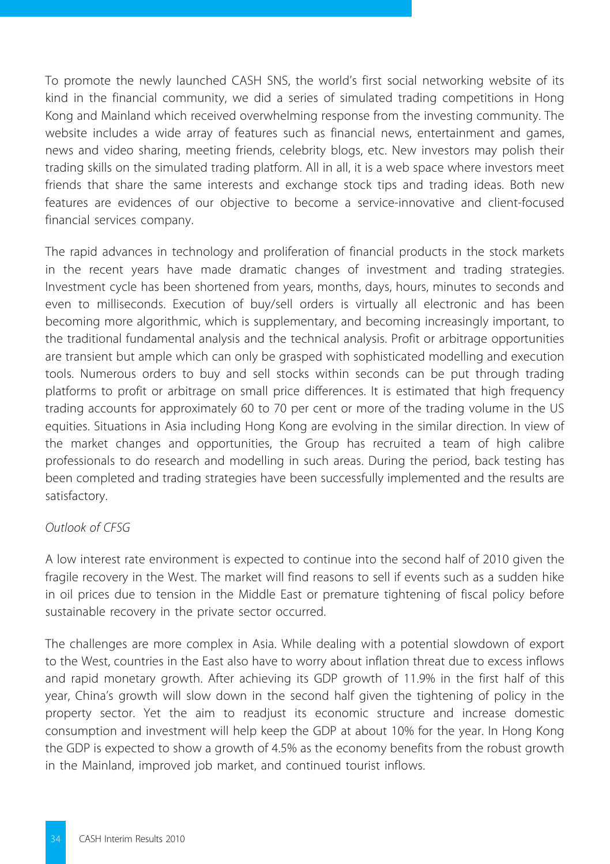To promote the newly launched CASH SNS, the world's first social networking website of its kind in the financial community, we did a series of simulated trading competitions in Hong Kong and Mainland which received overwhelming response from the investing community. The website includes a wide array of features such as financial news, entertainment and games, news and video sharing, meeting friends, celebrity blogs, etc. New investors may polish their trading skills on the simulated trading platform. All in all, it is a web space where investors meet friends that share the same interests and exchange stock tips and trading ideas. Both new features are evidences of our objective to become a service-innovative and client-focused financial services company.

The rapid advances in technology and proliferation of financial products in the stock markets in the recent years have made dramatic changes of investment and trading strategies. Investment cycle has been shortened from years, months, days, hours, minutes to seconds and even to milliseconds. Execution of buy/sell orders is virtually all electronic and has been becoming more algorithmic, which is supplementary, and becoming increasingly important, to the traditional fundamental analysis and the technical analysis. Profit or arbitrage opportunities are transient but ample which can only be grasped with sophisticated modelling and execution tools. Numerous orders to buy and sell stocks within seconds can be put through trading platforms to profit or arbitrage on small price differences. It is estimated that high frequency trading accounts for approximately 60 to 70 per cent or more of the trading volume in the US equities. Situations in Asia including Hong Kong are evolving in the similar direction. In view of the market changes and opportunities, the Group has recruited a team of high calibre professionals to do research and modelling in such areas. During the period, back testing has been completed and trading strategies have been successfully implemented and the results are satisfactory.

## *Outlook of CFSG*

A low interest rate environment is expected to continue into the second half of 2010 given the fragile recovery in the West. The market will find reasons to sell if events such as a sudden hike in oil prices due to tension in the Middle East or premature tightening of fiscal policy before sustainable recovery in the private sector occurred.

The challenges are more complex in Asia. While dealing with a potential slowdown of export to the West, countries in the East also have to worry about inflation threat due to excess inflows and rapid monetary growth. After achieving its GDP growth of 11.9% in the first half of this year, China's growth will slow down in the second half given the tightening of policy in the property sector. Yet the aim to readjust its economic structure and increase domestic consumption and investment will help keep the GDP at about 10% for the year. In Hong Kong the GDP is expected to show a growth of 4.5% as the economy benefits from the robust growth in the Mainland, improved job market, and continued tourist inflows.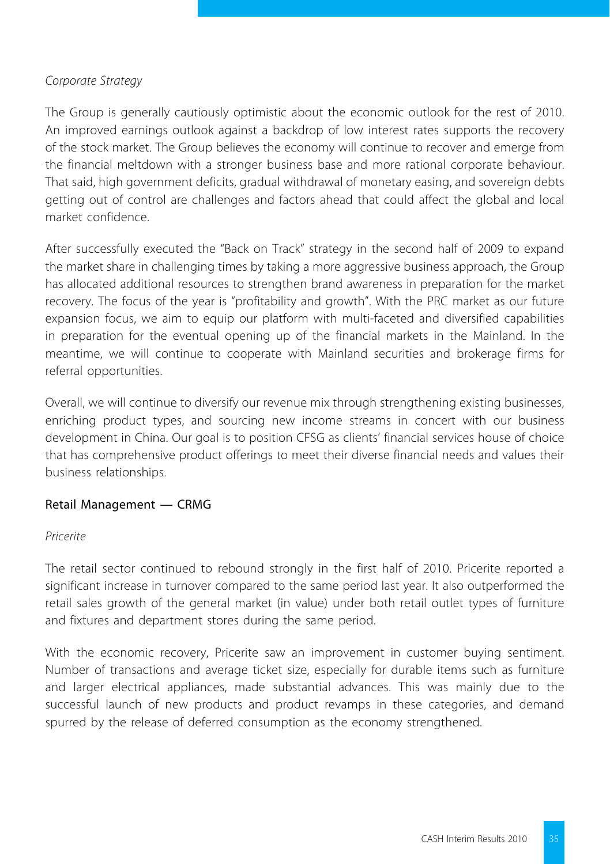## *Corporate Strategy*

The Group is generally cautiously optimistic about the economic outlook for the rest of 2010. An improved earnings outlook against a backdrop of low interest rates supports the recovery of the stock market. The Group believes the economy will continue to recover and emerge from the financial meltdown with a stronger business base and more rational corporate behaviour. That said, high government deficits, gradual withdrawal of monetary easing, and sovereign debts getting out of control are challenges and factors ahead that could affect the global and local market confidence.

After successfully executed the "Back on Track" strategy in the second half of 2009 to expand the market share in challenging times by taking a more aggressive business approach, the Group has allocated additional resources to strengthen brand awareness in preparation for the market recovery. The focus of the year is "profitability and growth". With the PRC market as our future expansion focus, we aim to equip our platform with multi-faceted and diversified capabilities in preparation for the eventual opening up of the financial markets in the Mainland. In the meantime, we will continue to cooperate with Mainland securities and brokerage firms for referral opportunities.

Overall, we will continue to diversify our revenue mix through strengthening existing businesses, enriching product types, and sourcing new income streams in concert with our business development in China. Our goal is to position CFSG as clients' financial services house of choice that has comprehensive product offerings to meet their diverse financial needs and values their business relationships.

## Retail Management — CRMG

## *Pricerite*

The retail sector continued to rebound strongly in the first half of 2010. Pricerite reported a significant increase in turnover compared to the same period last year. It also outperformed the retail sales growth of the general market (in value) under both retail outlet types of furniture and fixtures and department stores during the same period.

With the economic recovery, Pricerite saw an improvement in customer buying sentiment. Number of transactions and average ticket size, especially for durable items such as furniture and larger electrical appliances, made substantial advances. This was mainly due to the successful launch of new products and product revamps in these categories, and demand spurred by the release of deferred consumption as the economy strengthened.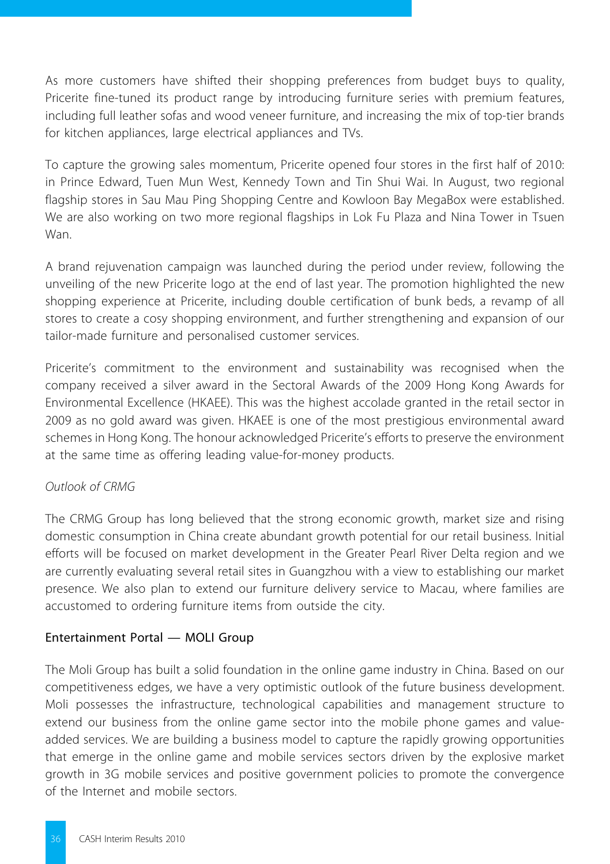As more customers have shifted their shopping preferences from budget buys to quality, Pricerite fine-tuned its product range by introducing furniture series with premium features, including full leather sofas and wood veneer furniture, and increasing the mix of top-tier brands for kitchen appliances, large electrical appliances and TVs.

To capture the growing sales momentum, Pricerite opened four stores in the first half of 2010: in Prince Edward, Tuen Mun West, Kennedy Town and Tin Shui Wai. In August, two regional flagship stores in Sau Mau Ping Shopping Centre and Kowloon Bay MegaBox were established. We are also working on two more regional flagships in Lok Fu Plaza and Nina Tower in Tsuen Wan.

A brand rejuvenation campaign was launched during the period under review, following the unveiling of the new Pricerite logo at the end of last year. The promotion highlighted the new shopping experience at Pricerite, including double certification of bunk beds, a revamp of all stores to create a cosy shopping environment, and further strengthening and expansion of our tailor-made furniture and personalised customer services.

Pricerite's commitment to the environment and sustainability was recognised when the company received a silver award in the Sectoral Awards of the 2009 Hong Kong Awards for Environmental Excellence (HKAEE). This was the highest accolade granted in the retail sector in 2009 as no gold award was given. HKAEE is one of the most prestigious environmental award schemes in Hong Kong. The honour acknowledged Pricerite's efforts to preserve the environment at the same time as offering leading value-for-money products.

## *Outlook of CRMG*

The CRMG Group has long believed that the strong economic growth, market size and rising domestic consumption in China create abundant growth potential for our retail business. Initial efforts will be focused on market development in the Greater Pearl River Delta region and we are currently evaluating several retail sites in Guangzhou with a view to establishing our market presence. We also plan to extend our furniture delivery service to Macau, where families are accustomed to ordering furniture items from outside the city.

## Entertainment Portal — MOLI Group

The Moli Group has built a solid foundation in the online game industry in China. Based on our competitiveness edges, we have a very optimistic outlook of the future business development. Moli possesses the infrastructure, technological capabilities and management structure to extend our business from the online game sector into the mobile phone games and valueadded services. We are building a business model to capture the rapidly growing opportunities that emerge in the online game and mobile services sectors driven by the explosive market growth in 3G mobile services and positive government policies to promote the convergence of the Internet and mobile sectors.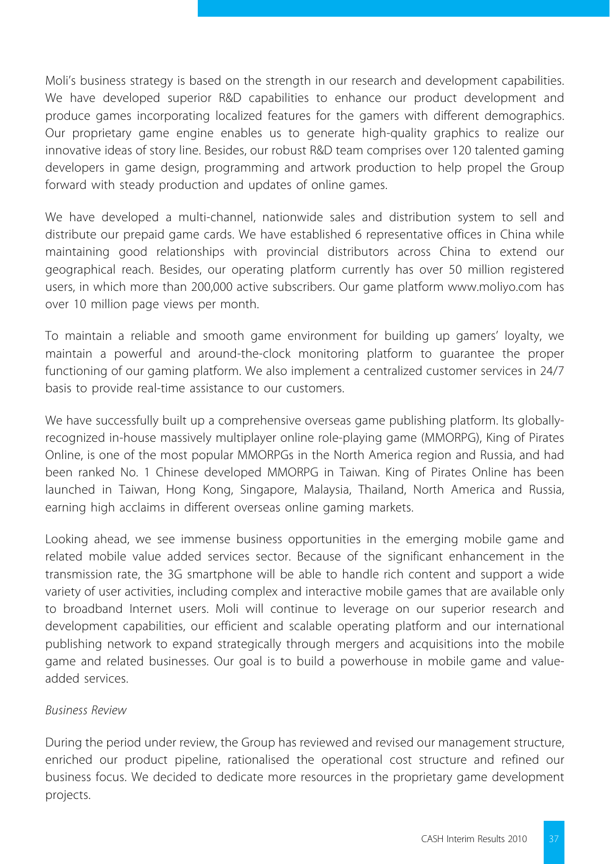Moli's business strategy is based on the strength in our research and development capabilities. We have developed superior R&D capabilities to enhance our product development and produce games incorporating localized features for the gamers with different demographics. Our proprietary game engine enables us to generate high-quality graphics to realize our innovative ideas of story line. Besides, our robust R&D team comprises over 120 talented gaming developers in game design, programming and artwork production to help propel the Group forward with steady production and updates of online games.

We have developed a multi-channel, nationwide sales and distribution system to sell and distribute our prepaid game cards. We have established 6 representative offices in China while maintaining good relationships with provincial distributors across China to extend our geographical reach. Besides, our operating platform currently has over 50 million registered users, in which more than 200,000 active subscribers. Our game platform www.moliyo.com has over 10 million page views per month.

To maintain a reliable and smooth game environment for building up gamers' loyalty, we maintain a powerful and around-the-clock monitoring platform to guarantee the proper functioning of our gaming platform. We also implement a centralized customer services in 24/7 basis to provide real-time assistance to our customers.

We have successfully built up a comprehensive overseas game publishing platform. Its globallyrecognized in-house massively multiplayer online role-playing game (MMORPG), King of Pirates Online, is one of the most popular MMORPGs in the North America region and Russia, and had been ranked No. 1 Chinese developed MMORPG in Taiwan. King of Pirates Online has been launched in Taiwan, Hong Kong, Singapore, Malaysia, Thailand, North America and Russia, earning high acclaims in different overseas online gaming markets.

Looking ahead, we see immense business opportunities in the emerging mobile game and related mobile value added services sector. Because of the significant enhancement in the transmission rate, the 3G smartphone will be able to handle rich content and support a wide variety of user activities, including complex and interactive mobile games that are available only to broadband Internet users. Moli will continue to leverage on our superior research and development capabilities, our efficient and scalable operating platform and our international publishing network to expand strategically through mergers and acquisitions into the mobile game and related businesses. Our goal is to build a powerhouse in mobile game and valueadded services.

## *Business Review*

During the period under review, the Group has reviewed and revised our management structure, enriched our product pipeline, rationalised the operational cost structure and refined our business focus. We decided to dedicate more resources in the proprietary game development projects.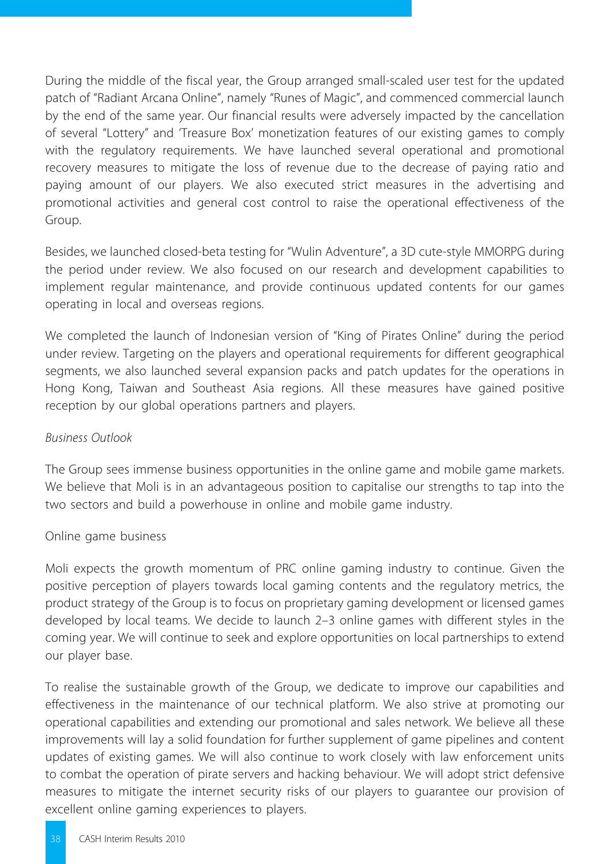During the middle of the fiscal year, the Group arranged small-scaled user test for the updated patch of "Radiant Arcana Online", namely "Runes of Magic", and commenced commercial launch by the end of the same year. Our financial results were adversely impacted by the cancellation of several "Lottery" and 'Treasure Box' monetization features of our existing games to comply with the regulatory requirements. We have launched several operational and promotional recovery measures to mitigate the loss of revenue due to the decrease of paying ratio and paying amount of our players. We also executed strict measures in the advertising and promotional activities and general cost control to raise the operational effectiveness of the Group.

Besides, we launched closed-beta testing for "Wulin Adventure", a 3D cute-style MMORPG during the period under review. We also focused on our research and development capabilities to implement regular maintenance, and provide continuous updated contents for our games operating in local and overseas regions.

We completed the launch of Indonesian version of "King of Pirates Online" during the period under review. Targeting on the players and operational requirements for different geographical segments, we also launched several expansion packs and patch updates for the operations in Hong Kong, Taiwan and Southeast Asia regions. All these measures have gained positive reception by our global operations partners and players.

## *Business Outlook*

The Group sees immense business opportunities in the online game and mobile game markets. We believe that Moli is in an advantageous position to capitalise our strengths to tap into the two sectors and build a powerhouse in online and mobile game industry.

## Online game business

Moli expects the growth momentum of PRC online gaming industry to continue. Given the positive perception of players towards local gaming contents and the regulatory metrics, the product strategy of the Group is to focus on proprietary gaming development or licensed games developed by local teams. We decide to launch 2–3 online games with different styles in the coming year. We will continue to seek and explore opportunities on local partnerships to extend our player base.

To realise the sustainable growth of the Group, we dedicate to improve our capabilities and effectiveness in the maintenance of our technical platform. We also strive at promoting our operational capabilities and extending our promotional and sales network. We believe all these improvements will lay a solid foundation for further supplement of game pipelines and content updates of existing games. We will also continue to work closely with law enforcement units to combat the operation of pirate servers and hacking behaviour. We will adopt strict defensive measures to mitigate the internet security risks of our players to guarantee our provision of excellent online gaming experiences to players.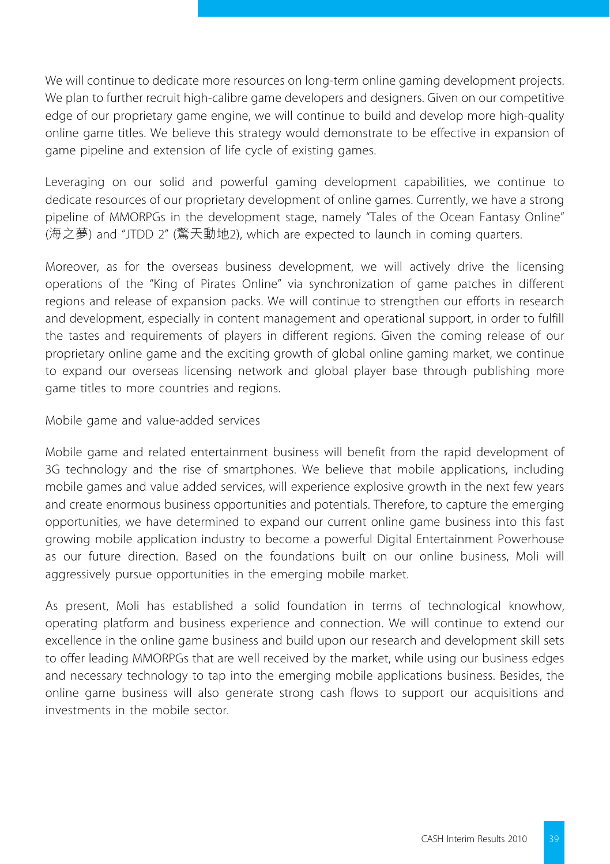We will continue to dedicate more resources on long-term online gaming development projects. We plan to further recruit high-calibre game developers and designers. Given on our competitive edge of our proprietary game engine, we will continue to build and develop more high-quality online game titles. We believe this strategy would demonstrate to be effective in expansion of game pipeline and extension of life cycle of existing games.

Leveraging on our solid and powerful gaming development capabilities, we continue to dedicate resources of our proprietary development of online games. Currently, we have a strong pipeline of MMORPGs in the development stage, namely "Tales of the Ocean Fantasy Online" (海之夢) and "JTDD 2" (驚天動地2), which are expected to launch in coming quarters.

Moreover, as for the overseas business development, we will actively drive the licensing operations of the "King of Pirates Online" via synchronization of game patches in different regions and release of expansion packs. We will continue to strengthen our efforts in research and development, especially in content management and operational support, in order to fulfill the tastes and requirements of players in different regions. Given the coming release of our proprietary online game and the exciting growth of global online gaming market, we continue to expand our overseas licensing network and global player base through publishing more game titles to more countries and regions.

Mobile game and value-added services

Mobile game and related entertainment business will benefit from the rapid development of 3G technology and the rise of smartphones. We believe that mobile applications, including mobile games and value added services, will experience explosive growth in the next few years and create enormous business opportunities and potentials. Therefore, to capture the emerging opportunities, we have determined to expand our current online game business into this fast growing mobile application industry to become a powerful Digital Entertainment Powerhouse as our future direction. Based on the foundations built on our online business, Moli will aggressively pursue opportunities in the emerging mobile market.

As present, Moli has established a solid foundation in terms of technological knowhow, operating platform and business experience and connection. We will continue to extend our excellence in the online game business and build upon our research and development skill sets to offer leading MMORPGs that are well received by the market, while using our business edges and necessary technology to tap into the emerging mobile applications business. Besides, the online game business will also generate strong cash flows to support our acquisitions and investments in the mobile sector.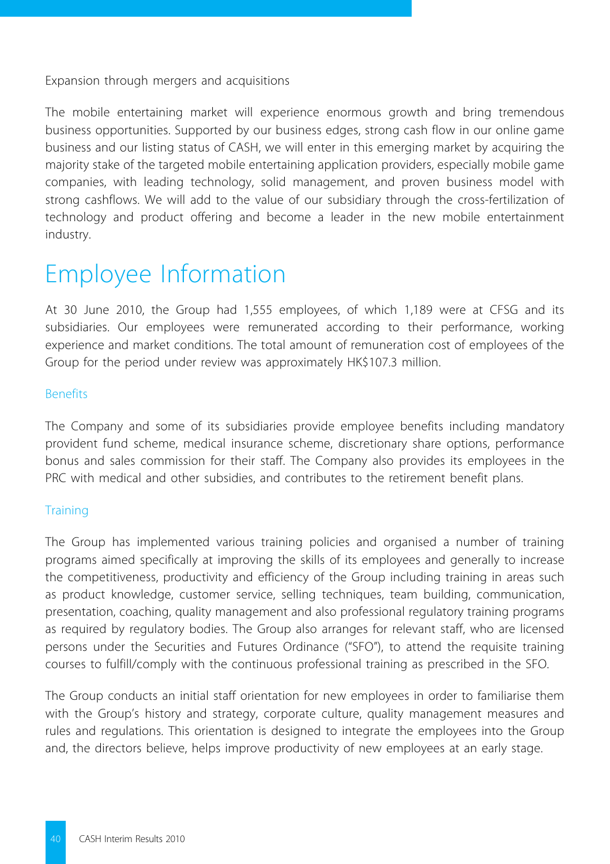Expansion through mergers and acquisitions

The mobile entertaining market will experience enormous growth and bring tremendous business opportunities. Supported by our business edges, strong cash flow in our online game business and our listing status of CASH, we will enter in this emerging market by acquiring the majority stake of the targeted mobile entertaining application providers, especially mobile game companies, with leading technology, solid management, and proven business model with strong cashflows. We will add to the value of our subsidiary through the cross-fertilization of technology and product offering and become a leader in the new mobile entertainment industry.

## Employee Information

At 30 June 2010, the Group had 1,555 employees, of which 1,189 were at CFSG and its subsidiaries. Our employees were remunerated according to their performance, working experience and market conditions. The total amount of remuneration cost of employees of the Group for the period under review was approximately HK\$107.3 million.

#### Benefits

The Company and some of its subsidiaries provide employee benefits including mandatory provident fund scheme, medical insurance scheme, discretionary share options, performance bonus and sales commission for their staff. The Company also provides its employees in the PRC with medical and other subsidies, and contributes to the retirement benefit plans.

## **Training**

The Group has implemented various training policies and organised a number of training programs aimed specifically at improving the skills of its employees and generally to increase the competitiveness, productivity and efficiency of the Group including training in areas such as product knowledge, customer service, selling techniques, team building, communication, presentation, coaching, quality management and also professional regulatory training programs as required by regulatory bodies. The Group also arranges for relevant staff, who are licensed persons under the Securities and Futures Ordinance ("SFO"), to attend the requisite training courses to fulfill/comply with the continuous professional training as prescribed in the SFO.

The Group conducts an initial staff orientation for new employees in order to familiarise them with the Group's history and strategy, corporate culture, quality management measures and rules and regulations. This orientation is designed to integrate the employees into the Group and, the directors believe, helps improve productivity of new employees at an early stage.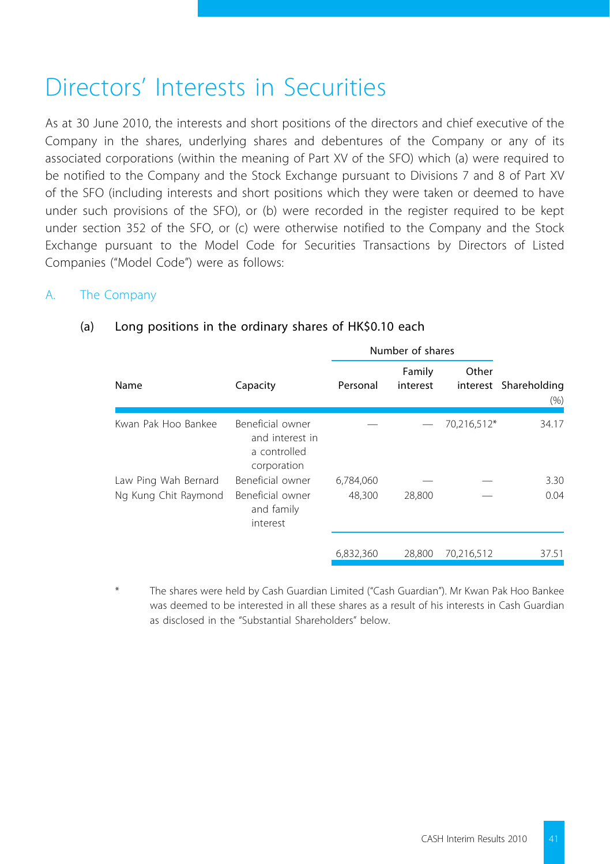## Directors' Interests in Securities

As at 30 June 2010, the interests and short positions of the directors and chief executive of the Company in the shares, underlying shares and debentures of the Company or any of its associated corporations (within the meaning of Part XV of the SFO) which (a) were required to be notified to the Company and the Stock Exchange pursuant to Divisions 7 and 8 of Part XV of the SFO (including interests and short positions which they were taken or deemed to have under such provisions of the SFO), or (b) were recorded in the register required to be kept under section 352 of the SFO, or (c) were otherwise notified to the Company and the Stock Exchange pursuant to the Model Code for Securities Transactions by Directors of Listed Companies ("Model Code") were as follows:

## A. The Company

|                      |                                                                    |           | Number of shares   |             |                               |  |
|----------------------|--------------------------------------------------------------------|-----------|--------------------|-------------|-------------------------------|--|
| Name                 | Capacity                                                           | Personal  | Family<br>interest | Other       | interest Shareholding<br>(% ) |  |
| Kwan Pak Hoo Bankee  | Beneficial owner<br>and interest in<br>a controlled<br>corporation |           |                    | 70,216,512* | 34.17                         |  |
| Law Ping Wah Bernard | Beneficial owner                                                   | 6,784,060 |                    |             | 3.30                          |  |
| Ng Kung Chit Raymond | Beneficial owner<br>and family<br>interest                         | 48,300    | 28,800             |             | 0.04                          |  |
|                      |                                                                    | 6,832,360 | 28.800             | 70,216,512  | 37.51                         |  |

#### (a) Long positions in the ordinary shares of HK\$0.10 each

The shares were held by Cash Guardian Limited ("Cash Guardian"). Mr Kwan Pak Hoo Bankee was deemed to be interested in all these shares as a result of his interests in Cash Guardian as disclosed in the "Substantial Shareholders" below.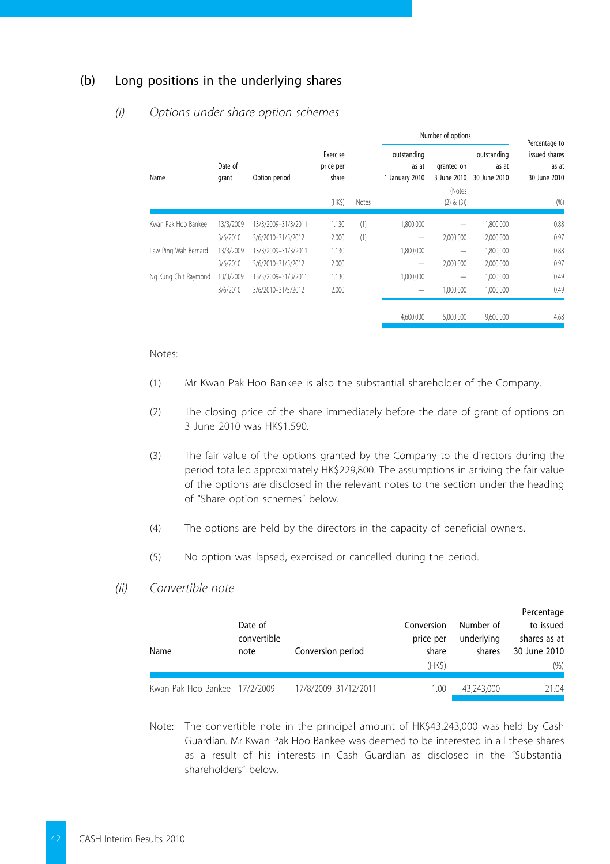### (b) Long positions in the underlying shares

#### *(i) Options under share option schemes*

|                      |                  |                     |                                | Number of options |                                        |                           |                                      |                                                         |  |
|----------------------|------------------|---------------------|--------------------------------|-------------------|----------------------------------------|---------------------------|--------------------------------------|---------------------------------------------------------|--|
| Name                 | Date of<br>grant | Option period       | Exercise<br>price per<br>share |                   | outstanding<br>as at<br>1 January 2010 | granted on<br>3 June 2010 | outstanding<br>as at<br>30 June 2010 | Percentage to<br>issued shares<br>as at<br>30 June 2010 |  |
|                      |                  |                     |                                |                   |                                        | (Notes                    |                                      |                                                         |  |
|                      |                  |                     | (HKS)                          | Notes             |                                        | $(2)$ & $(3)$             |                                      | (96)                                                    |  |
| Kwan Pak Hoo Bankee  | 13/3/2009        | 13/3/2009-31/3/2011 | 1.130                          | (1)               | 1.800.000                              |                           | 1,800,000                            | 0.88                                                    |  |
|                      | 3/6/2010         | 3/6/2010-31/5/2012  | 2.000                          | (1)               | -                                      | 2,000,000                 | 2,000,000                            | 0.97                                                    |  |
| Law Ping Wah Bernard | 13/3/2009        | 13/3/2009-31/3/2011 | 1.130                          |                   | 1.800.000                              | $\overline{\phantom{a}}$  | 1,800,000                            | 0.88                                                    |  |
|                      | 3/6/2010         | 3/6/2010-31/5/2012  | 2.000                          |                   | $\overline{\phantom{a}}$               | 2,000,000                 | 2,000,000                            | 0.97                                                    |  |
| Ng Kung Chit Raymond | 13/3/2009        | 13/3/2009-31/3/2011 | 1.130                          |                   | 1,000,000                              |                           | 1,000,000                            | 0.49                                                    |  |
|                      | 3/6/2010         | 3/6/2010-31/5/2012  | 2.000                          |                   | $\overline{\phantom{a}}$               | 1.000.000                 | 1.000.000                            | 0.49                                                    |  |
|                      |                  |                     |                                |                   | 4.600.000                              | 5.000.000                 | 9,600,000                            | 4.68                                                    |  |

#### Notes:

- (1) Mr Kwan Pak Hoo Bankee is also the substantial shareholder of the Company.
- (2) The closing price of the share immediately before the date of grant of options on 3 June 2010 was HK\$1.590.
- (3) The fair value of the options granted by the Company to the directors during the period totalled approximately HK\$229,800. The assumptions in arriving the fair value of the options are disclosed in the relevant notes to the section under the heading of "Share option schemes" below.
- (4) The options are held by the directors in the capacity of beneficial owners.
- (5) No option was lapsed, exercised or cancelled during the period.

#### *(ii) Convertible note*

| Name                          | Date of<br>convertible<br>note | Conversion period    | Conversion<br>price per<br>share<br>(HKS) | Number of<br>underlying<br>shares | Percentage<br>to issued<br>shares as at<br>30 June 2010<br>(96) |
|-------------------------------|--------------------------------|----------------------|-------------------------------------------|-----------------------------------|-----------------------------------------------------------------|
| Kwan Pak Hoo Bankee 17/2/2009 |                                | 17/8/2009-31/12/2011 | 1.00                                      | 43.243.000                        | 21.04                                                           |

Note: The convertible note in the principal amount of HK\$43,243,000 was held by Cash Guardian. Mr Kwan Pak Hoo Bankee was deemed to be interested in all these shares as a result of his interests in Cash Guardian as disclosed in the "Substantial shareholders" below.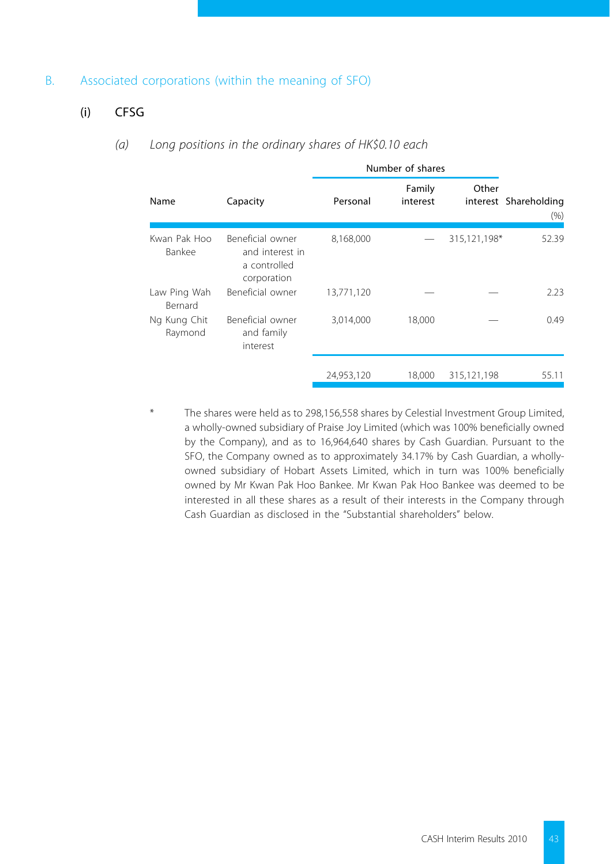### B. Associated corporations (within the meaning of SFO)

## (i) CFSG

#### *(a) Long positions in the ordinary shares of HK\$0.10 each*

|                                |                                                                    | Number of shares |                    |              |                               |
|--------------------------------|--------------------------------------------------------------------|------------------|--------------------|--------------|-------------------------------|
| Name                           | Capacity                                                           | Personal         | Family<br>interest | Other        | interest Shareholding<br>(96) |
| Kwan Pak Hoo<br>Bankee         | Beneficial owner<br>and interest in<br>a controlled<br>corporation | 8,168,000        |                    | 315,121,198* | 52.39                         |
| Law Ping Wah<br><b>Bernard</b> | Beneficial owner                                                   | 13,771,120       |                    |              | 2.23                          |
| Ng Kung Chit<br>Raymond        | Beneficial owner<br>and family<br>interest                         | 3,014,000        | 18,000             |              | 0.49                          |
|                                |                                                                    | 24,953,120       | 18,000             | 315.121.198  | 55.11                         |

\* The shares were held as to 298,156,558 shares by Celestial Investment Group Limited, a wholly-owned subsidiary of Praise Joy Limited (which was 100% beneficially owned by the Company), and as to 16,964,640 shares by Cash Guardian. Pursuant to the SFO, the Company owned as to approximately 34.17% by Cash Guardian, a whollyowned subsidiary of Hobart Assets Limited, which in turn was 100% beneficially owned by Mr Kwan Pak Hoo Bankee. Mr Kwan Pak Hoo Bankee was deemed to be interested in all these shares as a result of their interests in the Company through Cash Guardian as disclosed in the "Substantial shareholders" below.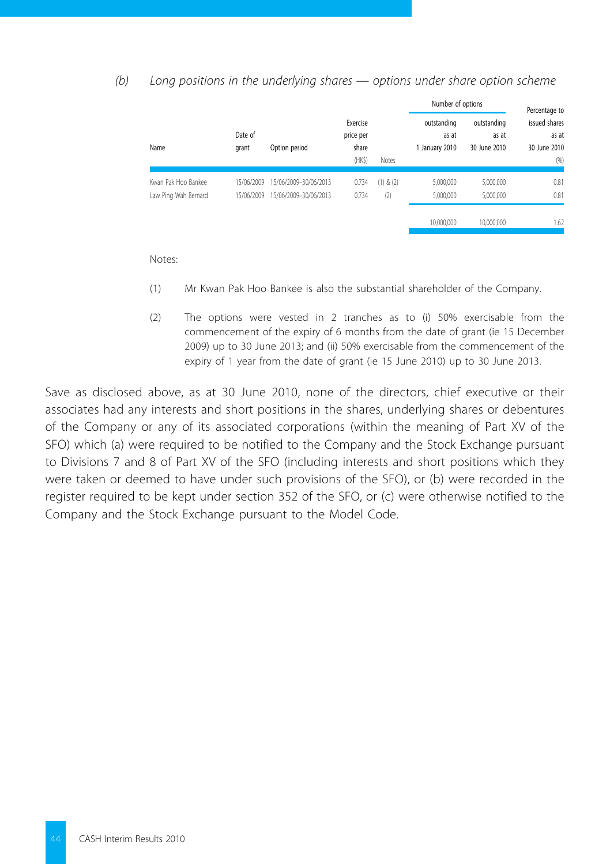#### *(b) Long positions in the underlying shares — options under share option scheme*

|                                             |                          |                                                |                                |                      | Number of options                      | Percentage to                        |                                        |
|---------------------------------------------|--------------------------|------------------------------------------------|--------------------------------|----------------------|----------------------------------------|--------------------------------------|----------------------------------------|
| Name                                        | Date of<br>grant         | Option period                                  | Exercise<br>price per<br>share |                      | outstanding<br>as at<br>1 January 2010 | outstanding<br>as at<br>30 June 2010 | issued shares<br>as at<br>30 June 2010 |
|                                             |                          |                                                | (HKS)                          | Notes                |                                        |                                      | (96)                                   |
| Kwan Pak Hoo Bankee<br>Law Ping Wah Bernard | 15/06/2009<br>15/06/2009 | 15/06/2009-30/06/2013<br>15/06/2009-30/06/2013 | 0.734<br>0.734                 | $(1)$ & $(2)$<br>(2) | 5,000,000<br>5.000.000                 | 5,000,000<br>5.000.000               | 0.81<br>0.81                           |
|                                             |                          |                                                |                                |                      | 10,000,000                             | 10.000.000                           | 1.62                                   |

Notes:

- (1) Mr Kwan Pak Hoo Bankee is also the substantial shareholder of the Company.
- (2) The options were vested in 2 tranches as to (i) 50% exercisable from the commencement of the expiry of 6 months from the date of grant (ie 15 December 2009) up to 30 June 2013; and (ii) 50% exercisable from the commencement of the expiry of 1 year from the date of grant (ie 15 June 2010) up to 30 June 2013.

Save as disclosed above, as at 30 June 2010, none of the directors, chief executive or their associates had any interests and short positions in the shares, underlying shares or debentures of the Company or any of its associated corporations (within the meaning of Part XV of the SFO) which (a) were required to be notified to the Company and the Stock Exchange pursuant to Divisions 7 and 8 of Part XV of the SFO (including interests and short positions which they were taken or deemed to have under such provisions of the SFO), or (b) were recorded in the register required to be kept under section 352 of the SFO, or (c) were otherwise notified to the Company and the Stock Exchange pursuant to the Model Code.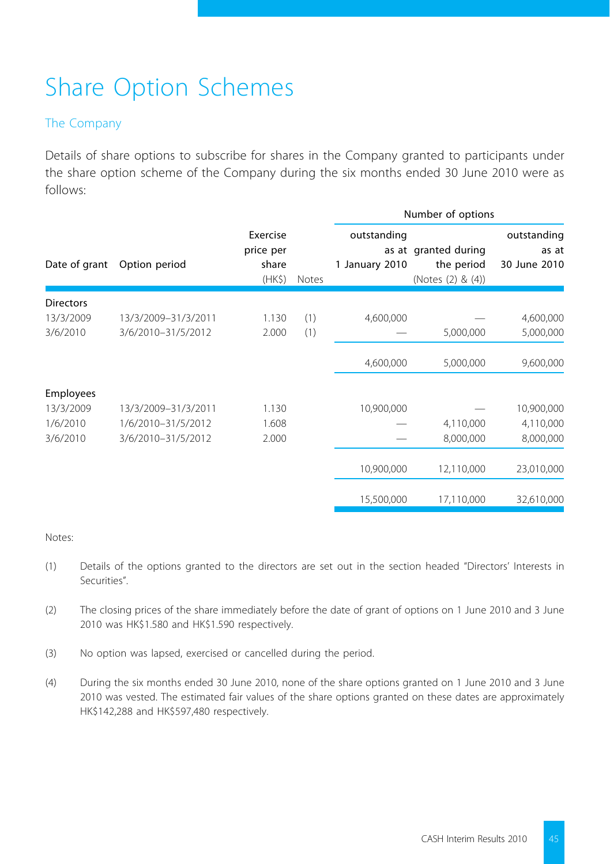# Share Option Schemes

## The Company

Details of share options to subscribe for shares in the Company granted to participants under the share option scheme of the Company during the six months ended 30 June 2010 were as follows:

|                                           |                                                                 |                                          |            | Number of options             |                                                         |                                      |  |
|-------------------------------------------|-----------------------------------------------------------------|------------------------------------------|------------|-------------------------------|---------------------------------------------------------|--------------------------------------|--|
| Date of grant                             | Option period                                                   | Exercise<br>price per<br>share<br>(HK\$) | Notes      | outstanding<br>1 January 2010 | as at granted during<br>the period<br>(Notes (2) & (4)) | outstanding<br>as at<br>30 June 2010 |  |
| <b>Directors</b><br>13/3/2009<br>3/6/2010 | 13/3/2009-31/3/2011<br>3/6/2010-31/5/2012                       | 1.130<br>2.000                           | (1)<br>(1) | 4,600,000                     | 5,000,000                                               | 4,600,000<br>5,000,000               |  |
|                                           |                                                                 |                                          |            | 4,600,000                     | 5,000,000                                               | 9,600,000                            |  |
| <b>Employees</b>                          |                                                                 |                                          |            |                               |                                                         |                                      |  |
| 13/3/2009<br>1/6/2010<br>3/6/2010         | 13/3/2009-31/3/2011<br>1/6/2010-31/5/2012<br>3/6/2010-31/5/2012 | 1.130<br>1.608<br>2.000                  |            | 10,900,000                    | 4,110,000<br>8,000,000                                  | 10,900,000<br>4,110,000<br>8,000,000 |  |
|                                           |                                                                 |                                          |            | 10,900,000                    | 12,110,000                                              | 23,010,000                           |  |
|                                           |                                                                 |                                          |            | 15,500,000                    | 17,110,000                                              | 32,610,000                           |  |

#### Notes:

- (1) Details of the options granted to the directors are set out in the section headed "Directors' Interests in Securities".
- (2) The closing prices of the share immediately before the date of grant of options on 1 June 2010 and 3 June 2010 was HK\$1.580 and HK\$1.590 respectively.
- (3) No option was lapsed, exercised or cancelled during the period.
- (4) During the six months ended 30 June 2010, none of the share options granted on 1 June 2010 and 3 June 2010 was vested. The estimated fair values of the share options granted on these dates are approximately HK\$142,288 and HK\$597,480 respectively.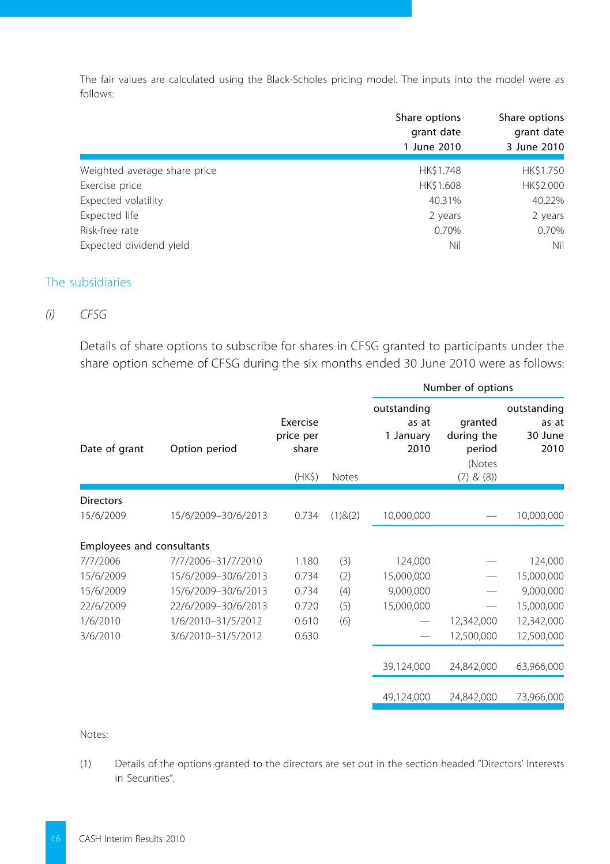The fair values are calculated using the Black-Scholes pricing model. The inputs into the model were as follows:

|                              | Share options<br>grant date<br>1 June 2010 | Share options<br>grant date<br>3 June 2010 |
|------------------------------|--------------------------------------------|--------------------------------------------|
| Weighted average share price | HK\$1.748                                  | HK\$1.750                                  |
| Exercise price               | HK\$1.608                                  | HK\$2.000                                  |
| Expected volatility          | 40.31%                                     | 40.22%                                     |
| Expected life                | 2 years                                    | 2 years                                    |
| Risk-free rate               | 0.70%                                      | 0.70%                                      |
| Expected dividend yield      | Nil                                        | Nil                                        |

## The subsidiaries

#### *(i) CFSG*

Details of share options to subscribe for shares in CFSG granted to participants under the share option scheme of CFSG during the six months ended 30 June 2010 were as follows:

|                           |                     |                                          |               | Number of options                         |                                                            |                                         |
|---------------------------|---------------------|------------------------------------------|---------------|-------------------------------------------|------------------------------------------------------------|-----------------------------------------|
| Date of grant             | Option period       | Exercise<br>price per<br>share<br>(HK\$) | Notes         | outstanding<br>as at<br>1 January<br>2010 | granted<br>during the<br>period<br>(Notes<br>$(7)$ & $(8)$ | outstanding<br>as at<br>30 June<br>2010 |
| <b>Directors</b>          |                     |                                          |               |                                           |                                                            |                                         |
| 15/6/2009                 | 15/6/2009-30/6/2013 | 0.734                                    | $(1)$ & $(2)$ | 10,000,000                                |                                                            | 10,000,000                              |
| Employees and consultants |                     |                                          |               |                                           |                                                            |                                         |
| 7/7/2006                  | 7/7/2006-31/7/2010  | 1.180                                    | (3)           | 124,000                                   |                                                            | 124,000                                 |
| 15/6/2009                 | 15/6/2009-30/6/2013 | 0.734                                    | (2)           | 15,000,000                                |                                                            | 15,000,000                              |
| 15/6/2009                 | 15/6/2009-30/6/2013 | 0.734                                    | (4)           | 9,000,000                                 |                                                            | 9,000,000                               |
| 22/6/2009                 | 22/6/2009-30/6/2013 | 0.720                                    | (5)           | 15,000,000                                |                                                            | 15,000,000                              |
| 1/6/2010                  | 1/6/2010-31/5/2012  | 0.610                                    | (6)           |                                           | 12,342,000                                                 | 12,342,000                              |
| 3/6/2010                  | 3/6/2010-31/5/2012  | 0.630                                    |               |                                           | 12,500,000                                                 | 12,500,000                              |
|                           |                     |                                          |               | 39,124,000                                | 24,842,000                                                 | 63,966,000                              |
|                           |                     |                                          |               | 49,124,000                                | 24,842,000                                                 | 73,966,000                              |

#### Notes:

(1) Details of the options granted to the directors are set out in the section headed "Directors' Interests in Securities".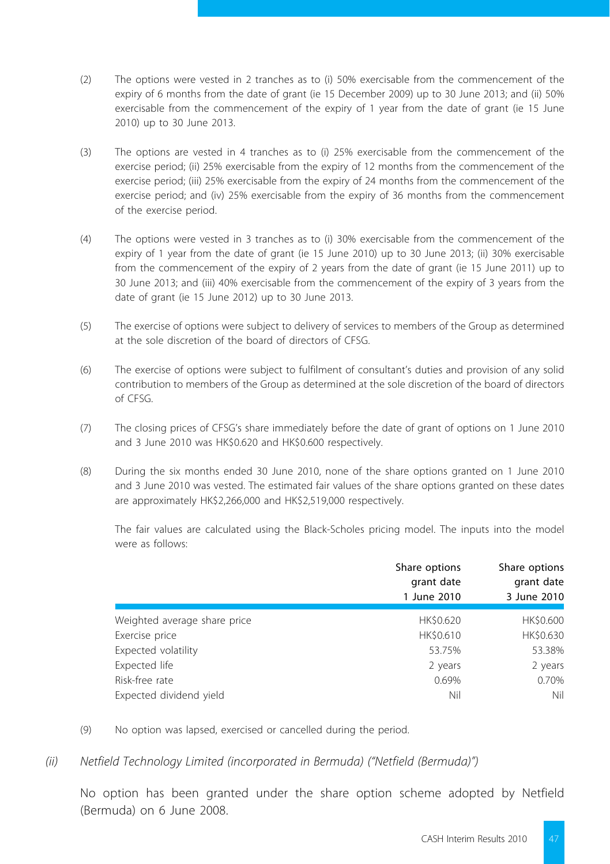- (2) The options were vested in 2 tranches as to (i) 50% exercisable from the commencement of the expiry of 6 months from the date of grant (ie 15 December 2009) up to 30 June 2013; and (ii) 50% exercisable from the commencement of the expiry of 1 year from the date of grant (ie 15 June 2010) up to 30 June 2013.
- (3) The options are vested in 4 tranches as to (i) 25% exercisable from the commencement of the exercise period; (ii) 25% exercisable from the expiry of 12 months from the commencement of the exercise period; (iii) 25% exercisable from the expiry of 24 months from the commencement of the exercise period; and (iv) 25% exercisable from the expiry of 36 months from the commencement of the exercise period.
- (4) The options were vested in 3 tranches as to (i) 30% exercisable from the commencement of the expiry of 1 year from the date of grant (ie 15 June 2010) up to 30 June 2013; (ii) 30% exercisable from the commencement of the expiry of 2 years from the date of grant (ie 15 June 2011) up to 30 June 2013; and (iii) 40% exercisable from the commencement of the expiry of 3 years from the date of grant (ie 15 June 2012) up to 30 June 2013.
- (5) The exercise of options were subject to delivery of services to members of the Group as determined at the sole discretion of the board of directors of CFSG.
- (6) The exercise of options were subject to fulfilment of consultant's duties and provision of any solid contribution to members of the Group as determined at the sole discretion of the board of directors of CFSG.
- (7) The closing prices of CFSG's share immediately before the date of grant of options on 1 June 2010 and 3 June 2010 was HK\$0.620 and HK\$0.600 respectively.
- (8) During the six months ended 30 June 2010, none of the share options granted on 1 June 2010 and 3 June 2010 was vested. The estimated fair values of the share options granted on these dates are approximately HK\$2,266,000 and HK\$2,519,000 respectively.

The fair values are calculated using the Black-Scholes pricing model. The inputs into the model were as follows:

|                              | Share options<br>grant date<br>1 June 2010 | Share options<br>grant date<br>3 June 2010 |
|------------------------------|--------------------------------------------|--------------------------------------------|
| Weighted average share price | HK\$0.620                                  | HK\$0.600                                  |
| Exercise price               | HK\$0.610                                  | HK\$0.630                                  |
| Expected volatility          | 53.75%                                     | 53.38%                                     |
| Expected life                | 2 years                                    | 2 years                                    |
| Risk-free rate               | 0.69%                                      | 0.70%                                      |
| Expected dividend yield      | Nil                                        | Nil                                        |

- (9) No option was lapsed, exercised or cancelled during the period.
- *(ii) Netfield Technology Limited (incorporated in Bermuda) ("Netfield (Bermuda)")*

No option has been granted under the share option scheme adopted by Netfield (Bermuda) on 6 June 2008.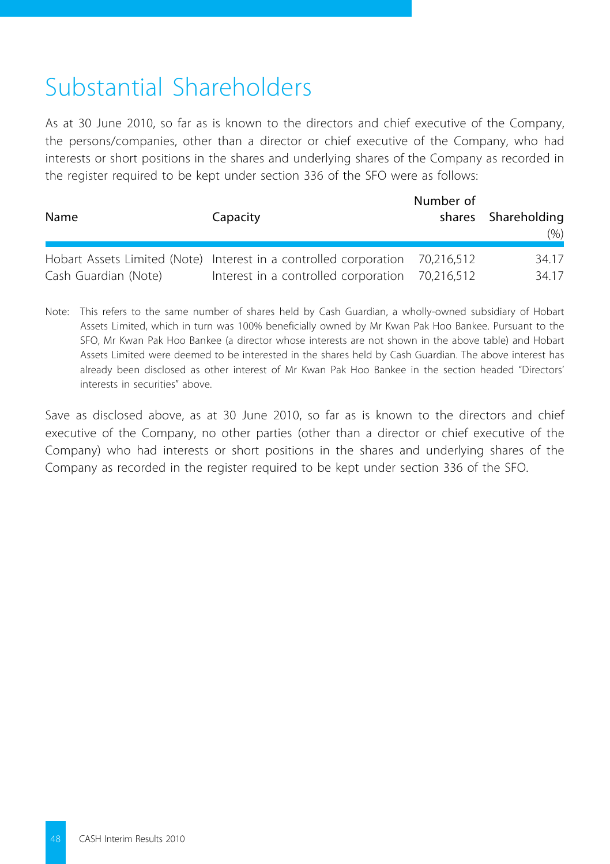# Substantial Shareholders

As at 30 June 2010, so far as is known to the directors and chief executive of the Company, the persons/companies, other than a director or chief executive of the Company, who had interests or short positions in the shares and underlying shares of the Company as recorded in the register required to be kept under section 336 of the SFO were as follows:

| Name                 | Capacity                                                                                                                        | Number of | shares Shareholding<br>(% ) |
|----------------------|---------------------------------------------------------------------------------------------------------------------------------|-----------|-----------------------------|
| Cash Guardian (Note) | Hobart Assets Limited (Note) Interest in a controlled corporation 70,216,512<br>Interest in a controlled corporation 70,216,512 |           | 34.17<br>34 17              |

Note: This refers to the same number of shares held by Cash Guardian, a wholly-owned subsidiary of Hobart Assets Limited, which in turn was 100% beneficially owned by Mr Kwan Pak Hoo Bankee. Pursuant to the SFO, Mr Kwan Pak Hoo Bankee (a director whose interests are not shown in the above table) and Hobart Assets Limited were deemed to be interested in the shares held by Cash Guardian. The above interest has already been disclosed as other interest of Mr Kwan Pak Hoo Bankee in the section headed "Directors' interests in securities" above.

Save as disclosed above, as at 30 June 2010, so far as is known to the directors and chief executive of the Company, no other parties (other than a director or chief executive of the Company) who had interests or short positions in the shares and underlying shares of the Company as recorded in the register required to be kept under section 336 of the SFO.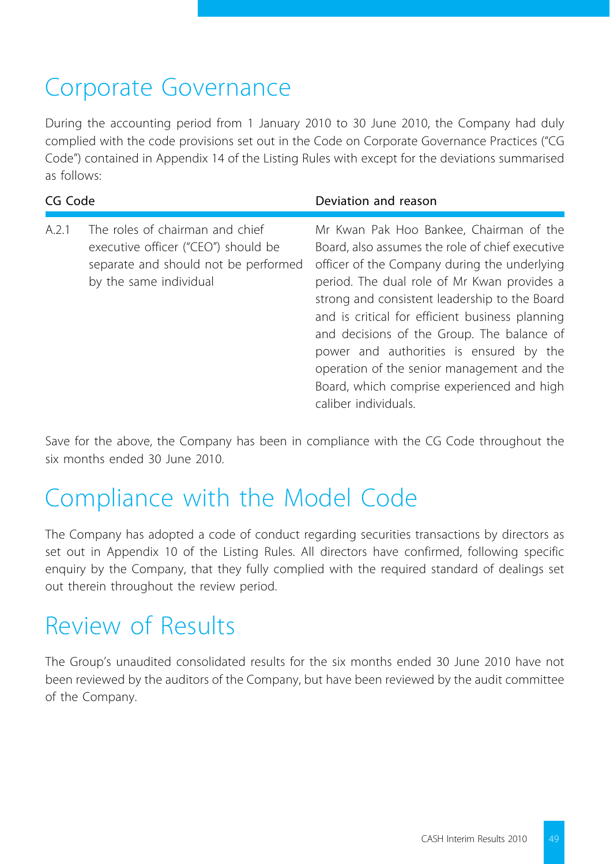# Corporate Governance

During the accounting period from 1 January 2010 to 30 June 2010, the Company had duly complied with the code provisions set out in the Code on Corporate Governance Practices ("CG Code") contained in Appendix 14 of the Listing Rules with except for the deviations summarised as follows:

| CG Code |                                                                                                                                          | Deviation and reason                                                                                                                                                                                                                                                                                                                                                                                                                                                                                       |  |
|---------|------------------------------------------------------------------------------------------------------------------------------------------|------------------------------------------------------------------------------------------------------------------------------------------------------------------------------------------------------------------------------------------------------------------------------------------------------------------------------------------------------------------------------------------------------------------------------------------------------------------------------------------------------------|--|
| A.2.1   | The roles of chairman and chief<br>executive officer ("CEO") should be<br>separate and should not be performed<br>by the same individual | Mr Kwan Pak Hoo Bankee, Chairman of the<br>Board, also assumes the role of chief executive<br>officer of the Company during the underlying<br>period. The dual role of Mr Kwan provides a<br>strong and consistent leadership to the Board<br>and is critical for efficient business planning<br>and decisions of the Group. The balance of<br>power and authorities is ensured by the<br>operation of the senior management and the<br>Board, which comprise experienced and high<br>caliber individuals. |  |

Save for the above, the Company has been in compliance with the CG Code throughout the six months ended 30 June 2010.

## Compliance with the Model Code

The Company has adopted a code of conduct regarding securities transactions by directors as set out in Appendix 10 of the Listing Rules. All directors have confirmed, following specific enquiry by the Company, that they fully complied with the required standard of dealings set out therein throughout the review period.

## Review of Results

The Group's unaudited consolidated results for the six months ended 30 June 2010 have not been reviewed by the auditors of the Company, but have been reviewed by the audit committee of the Company.